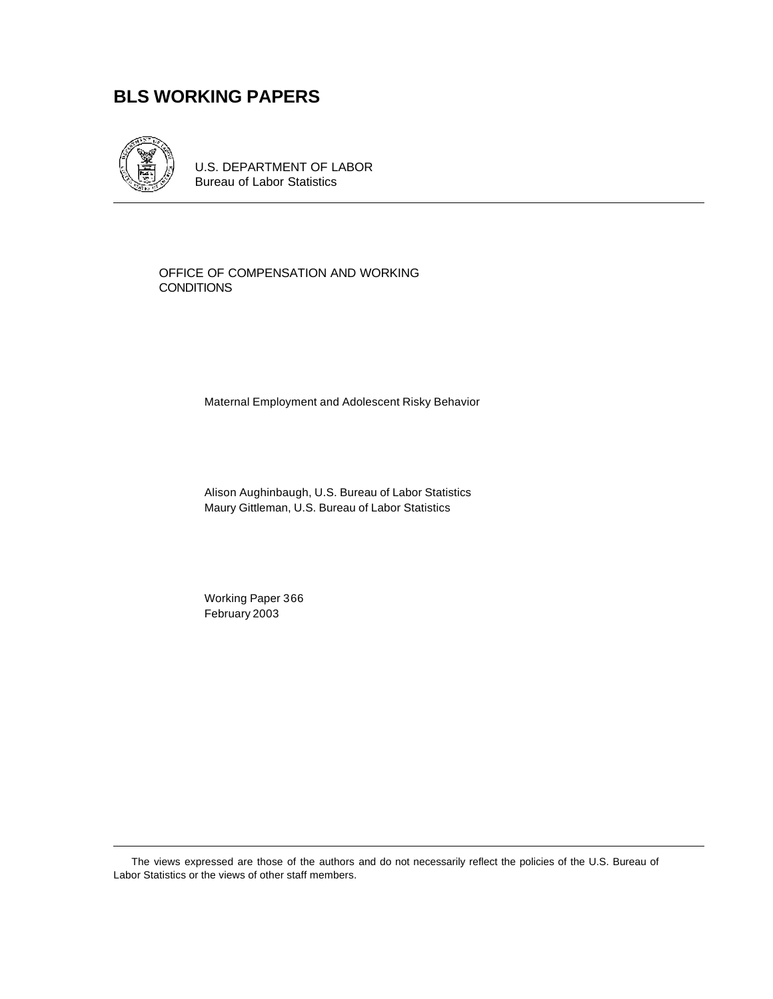# **BLS WORKING PAPERS**



U.S. DEPARTMENT OF LABOR Bureau of Labor Statistics

OFFICE OF COMPENSATION AND WORKING **CONDITIONS** 

Maternal Employment and Adolescent Risky Behavior

Alison Aughinbaugh, U.S. Bureau of Labor Statistics Maury Gittleman, U.S. Bureau of Labor Statistics

Working Paper 366 February 2003

The views expressed are those of the authors and do not necessarily reflect the policies of the U.S. Bureau of Labor Statistics or the views of other staff members.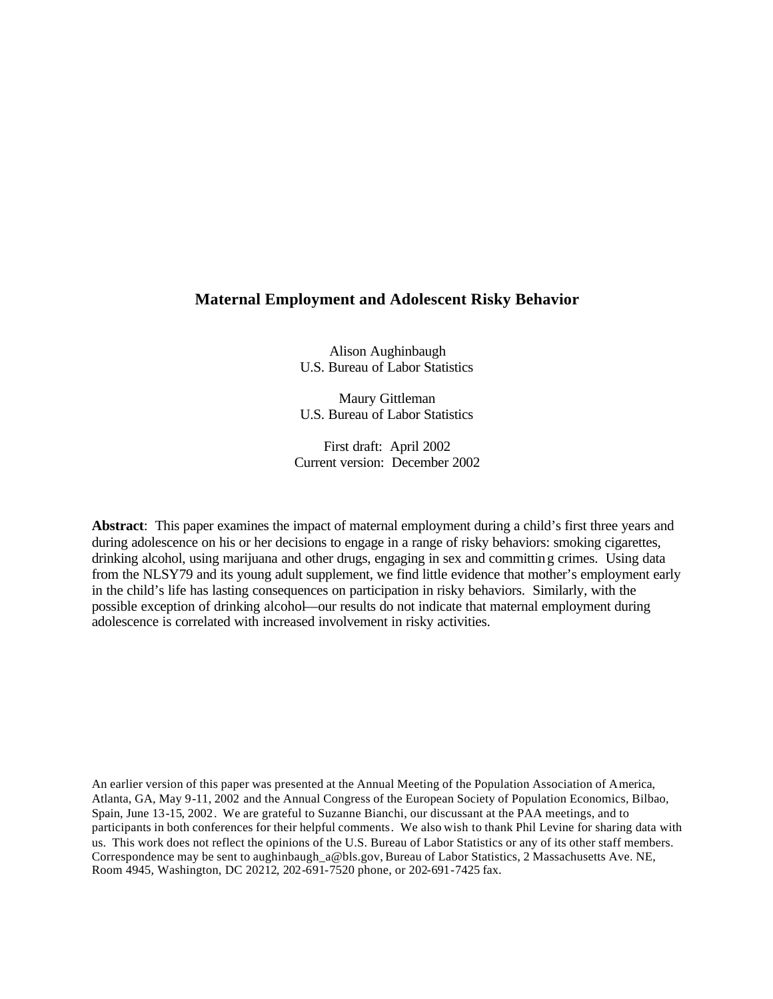### **Maternal Employment and Adolescent Risky Behavior**

Alison Aughinbaugh U.S. Bureau of Labor Statistics

Maury Gittleman U.S. Bureau of Labor Statistics

First draft: April 2002 Current version: December 2002

**Abstract**: This paper examines the impact of maternal employment during a child's first three years and during adolescence on his or her decisions to engage in a range of risky behaviors: smoking cigarettes, drinking alcohol, using marijuana and other drugs, engaging in sex and committing crimes. Using data from the NLSY79 and its young adult supplement, we find little evidence that mother's employment early in the child's life has lasting consequences on participation in risky behaviors. Similarly, with the possible exception of drinking alcohol—our results do not indicate that maternal employment during adolescence is correlated with increased involvement in risky activities.

An earlier version of this paper was presented at the Annual Meeting of the Population Association of America, Atlanta, GA, May 9-11, 2002 and the Annual Congress of the European Society of Population Economics, Bilbao, Spain, June 13-15, 2002. We are grateful to Suzanne Bianchi, our discussant at the PAA meetings, and to participants in both conferences for their helpful comments. We also wish to thank Phil Levine for sharing data with us. This work does not reflect the opinions of the U.S. Bureau of Labor Statistics or any of its other staff members. Correspondence may be sent to aughinbaugh  $a@bls.gov$ , Bureau of Labor Statistics, 2 Massachusetts Ave. NE, Room 4945, Washington, DC 20212, 202-691-7520 phone, or 202-691-7425 fax.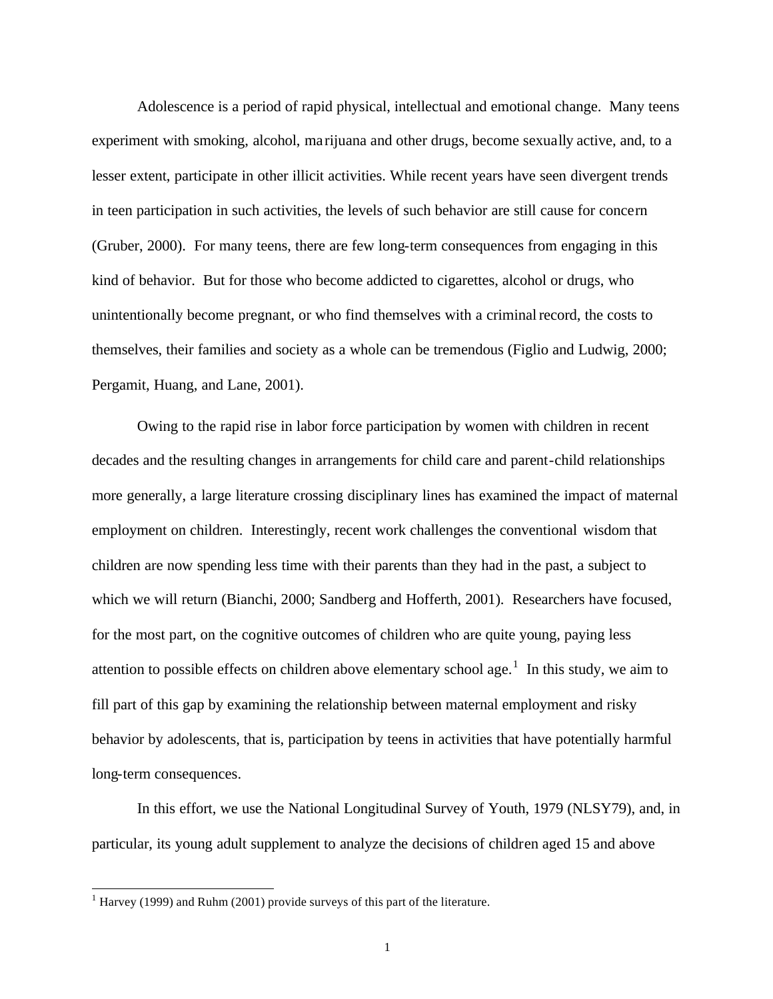Adolescence is a period of rapid physical, intellectual and emotional change. Many teens experiment with smoking, alcohol, ma rijuana and other drugs, become sexually active, and, to a lesser extent, participate in other illicit activities. While recent years have seen divergent trends in teen participation in such activities, the levels of such behavior are still cause for concern (Gruber, 2000). For many teens, there are few long-term consequences from engaging in this kind of behavior. But for those who become addicted to cigarettes, alcohol or drugs, who unintentionally become pregnant, or who find themselves with a criminal record, the costs to themselves, their families and society as a whole can be tremendous (Figlio and Ludwig, 2000; Pergamit, Huang, and Lane, 2001).

Owing to the rapid rise in labor force participation by women with children in recent decades and the resulting changes in arrangements for child care and parent-child relationships more generally, a large literature crossing disciplinary lines has examined the impact of maternal employment on children. Interestingly, recent work challenges the conventional wisdom that children are now spending less time with their parents than they had in the past, a subject to which we will return (Bianchi, 2000; Sandberg and Hofferth, 2001). Researchers have focused, for the most part, on the cognitive outcomes of children who are quite young, paying less attention to possible effects on children above elementary school age.<sup>1</sup> In this study, we aim to fill part of this gap by examining the relationship between maternal employment and risky behavior by adolescents, that is, participation by teens in activities that have potentially harmful long-term consequences.

In this effort, we use the National Longitudinal Survey of Youth, 1979 (NLSY79), and, in particular, its young adult supplement to analyze the decisions of children aged 15 and above

 $1$  Harvey (1999) and Ruhm (2001) provide surveys of this part of the literature.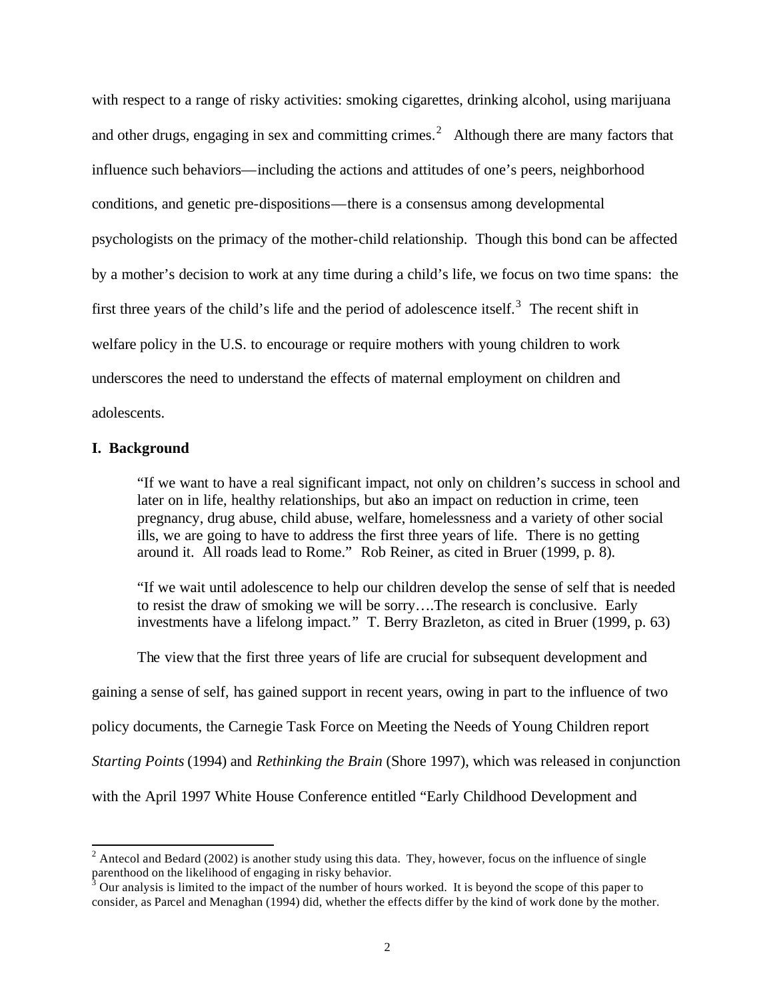with respect to a range of risky activities: smoking cigarettes, drinking alcohol, using marijuana and other drugs, engaging in sex and committing crimes.<sup>2</sup> Although there are many factors that influence such behaviors—including the actions and attitudes of one's peers, neighborhood conditions, and genetic pre-dispositions—there is a consensus among developmental psychologists on the primacy of the mother-child relationship. Though this bond can be affected by a mother's decision to work at any time during a child's life, we focus on two time spans: the first three years of the child's life and the period of adolescence itself.<sup>3</sup> The recent shift in welfare policy in the U.S. to encourage or require mothers with young children to work underscores the need to understand the effects of maternal employment on children and adolescents.

#### **I. Background**

l

"If we want to have a real significant impact, not only on children's success in school and later on in life, healthy relationships, but also an impact on reduction in crime, teen pregnancy, drug abuse, child abuse, welfare, homelessness and a variety of other social ills, we are going to have to address the first three years of life. There is no getting around it. All roads lead to Rome." Rob Reiner, as cited in Bruer (1999, p. 8).

"If we wait until adolescence to help our children develop the sense of self that is needed to resist the draw of smoking we will be sorry….The research is conclusive. Early investments have a lifelong impact." T. Berry Brazleton, as cited in Bruer (1999, p. 63)

The view that the first three years of life are crucial for subsequent development and

gaining a sense of self, has gained support in recent years, owing in part to the influence of two

policy documents, the Carnegie Task Force on Meeting the Needs of Young Children report

*Starting Points* (1994) and *Rethinking the Brain* (Shore 1997), which was released in conjunction

with the April 1997 White House Conference entitled "Early Childhood Development and

<sup>&</sup>lt;sup>2</sup> Antecol and Bedard (2002) is another study using this data. They, however, focus on the influence of single parenthood on the likelihood of engaging in risky behavior.<br><sup>3</sup> Our englusis is limited to the impect of the number of hour

Our analysis is limited to the impact of the number of hours worked. It is beyond the scope of this paper to consider, as Parcel and Menaghan (1994) did, whether the effects differ by the kind of work done by the mother.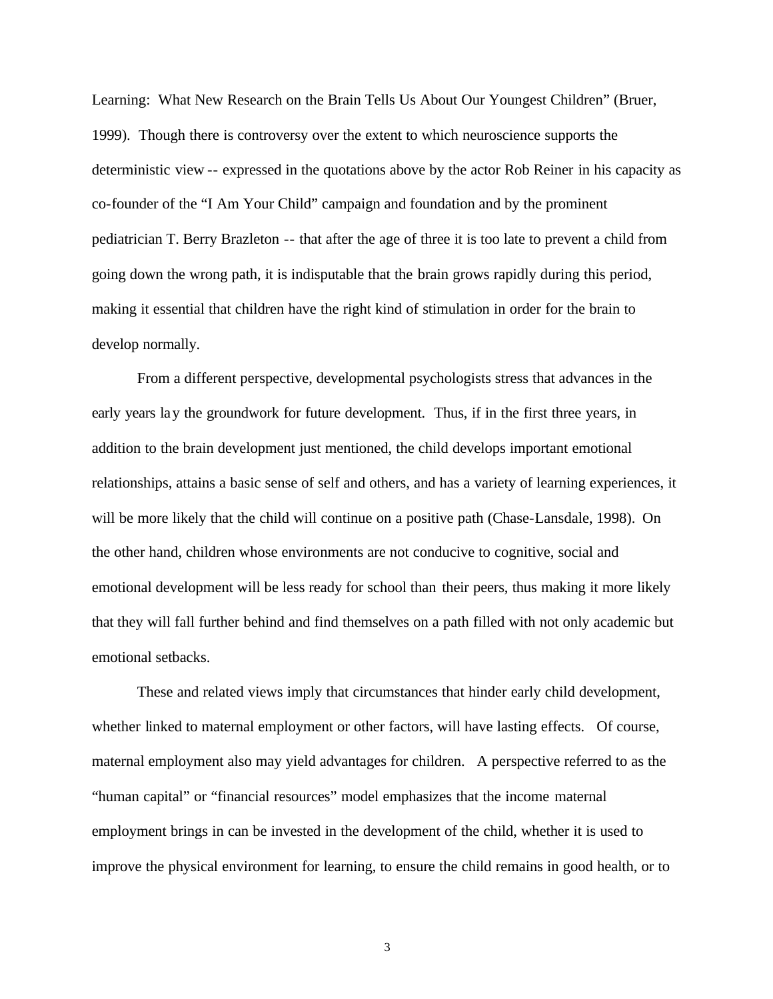Learning: What New Research on the Brain Tells Us About Our Youngest Children" (Bruer, 1999). Though there is controversy over the extent to which neuroscience supports the deterministic view -- expressed in the quotations above by the actor Rob Reiner in his capacity as co-founder of the "I Am Your Child" campaign and foundation and by the prominent pediatrician T. Berry Brazleton -- that after the age of three it is too late to prevent a child from going down the wrong path, it is indisputable that the brain grows rapidly during this period, making it essential that children have the right kind of stimulation in order for the brain to develop normally.

From a different perspective, developmental psychologists stress that advances in the early years lay the groundwork for future development. Thus, if in the first three years, in addition to the brain development just mentioned, the child develops important emotional relationships, attains a basic sense of self and others, and has a variety of learning experiences, it will be more likely that the child will continue on a positive path (Chase-Lansdale, 1998). On the other hand, children whose environments are not conducive to cognitive, social and emotional development will be less ready for school than their peers, thus making it more likely that they will fall further behind and find themselves on a path filled with not only academic but emotional setbacks.

These and related views imply that circumstances that hinder early child development, whether linked to maternal employment or other factors, will have lasting effects. Of course, maternal employment also may yield advantages for children. A perspective referred to as the "human capital" or "financial resources" model emphasizes that the income maternal employment brings in can be invested in the development of the child, whether it is used to improve the physical environment for learning, to ensure the child remains in good health, or to

3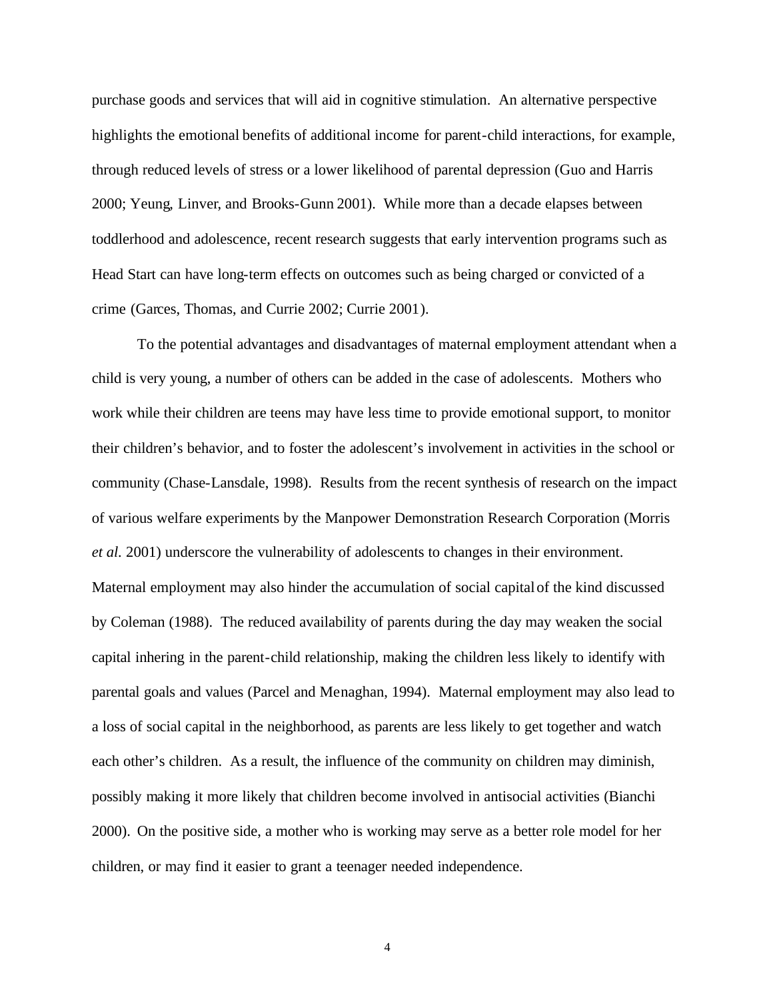purchase goods and services that will aid in cognitive stimulation. An alternative perspective highlights the emotional benefits of additional income for parent-child interactions, for example, through reduced levels of stress or a lower likelihood of parental depression (Guo and Harris 2000; Yeung, Linver, and Brooks-Gunn 2001). While more than a decade elapses between toddlerhood and adolescence, recent research suggests that early intervention programs such as Head Start can have long-term effects on outcomes such as being charged or convicted of a crime (Garces, Thomas, and Currie 2002; Currie 2001).

To the potential advantages and disadvantages of maternal employment attendant when a child is very young, a number of others can be added in the case of adolescents. Mothers who work while their children are teens may have less time to provide emotional support, to monitor their children's behavior, and to foster the adolescent's involvement in activities in the school or community (Chase-Lansdale, 1998). Results from the recent synthesis of research on the impact of various welfare experiments by the Manpower Demonstration Research Corporation (Morris *et al.* 2001) underscore the vulnerability of adolescents to changes in their environment. Maternal employment may also hinder the accumulation of social capital of the kind discussed by Coleman (1988). The reduced availability of parents during the day may weaken the social capital inhering in the parent-child relationship, making the children less likely to identify with parental goals and values (Parcel and Menaghan, 1994). Maternal employment may also lead to a loss of social capital in the neighborhood, as parents are less likely to get together and watch each other's children. As a result, the influence of the community on children may diminish, possibly making it more likely that children become involved in antisocial activities (Bianchi 2000). On the positive side, a mother who is working may serve as a better role model for her children, or may find it easier to grant a teenager needed independence.

4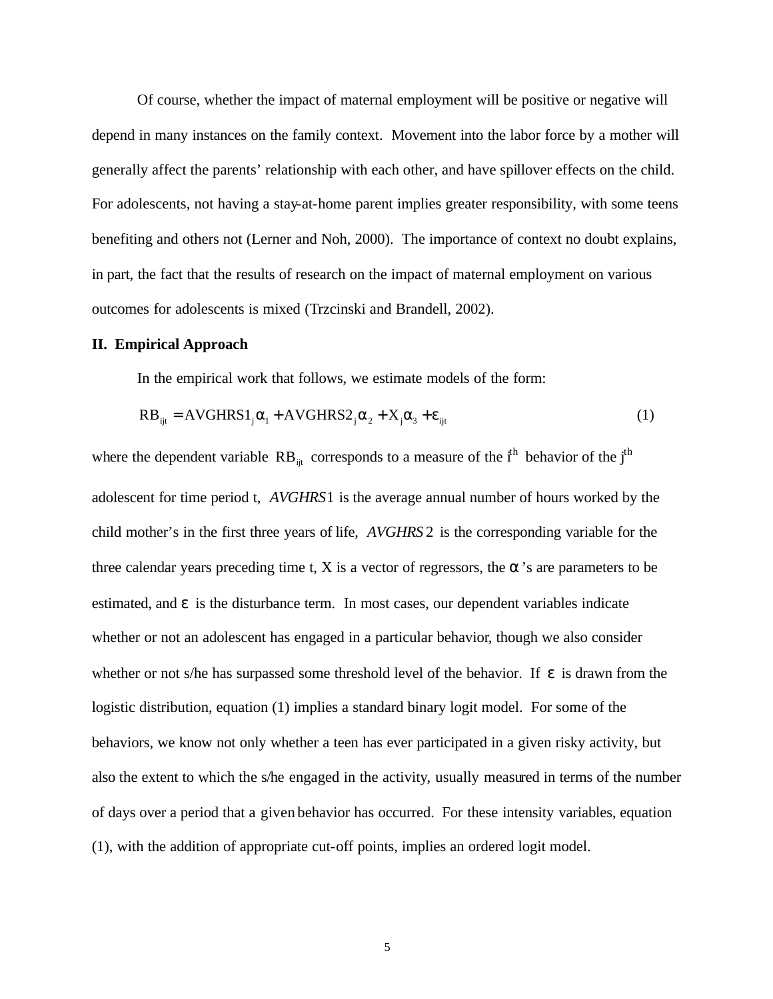Of course, whether the impact of maternal employment will be positive or negative will depend in many instances on the family context. Movement into the labor force by a mother will generally affect the parents' relationship with each other, and have spillover effects on the child. For adolescents, not having a stay-at-home parent implies greater responsibility, with some teens benefiting and others not (Lerner and Noh, 2000). The importance of context no doubt explains, in part, the fact that the results of research on the impact of maternal employment on various outcomes for adolescents is mixed (Trzcinski and Brandell, 2002).

#### **II. Empirical Approach**

In the empirical work that follows, we estimate models of the form:

$$
RB_{ijt} = AVGHRS1_j \alpha_1 + AVGHRS2_j \alpha_2 + X_j \alpha_3 + \varepsilon_{ijt}
$$
 (1)

where the dependent variable  $RB_{ii}$  corresponds to a measure of the  $i<sup>th</sup>$  behavior of the  $j<sup>th</sup>$ adolescent for time period t, *AVGHRS*1 is the average annual number of hours worked by the child mother's in the first three years of life, *AVGHRS* 2 is the corresponding variable for the three calendar years preceding time t, X is a vector of regressors, the  $\alpha$ 's are parameters to be estimated, and *e* is the disturbance term. In most cases, our dependent variables indicate whether or not an adolescent has engaged in a particular behavior, though we also consider whether or not s/he has surpassed some threshold level of the behavior. If *e* is drawn from the logistic distribution, equation (1) implies a standard binary logit model. For some of the behaviors, we know not only whether a teen has ever participated in a given risky activity, but also the extent to which the s/he engaged in the activity, usually measured in terms of the number of days over a period that a given behavior has occurred. For these intensity variables, equation (1), with the addition of appropriate cut-off points, implies an ordered logit model.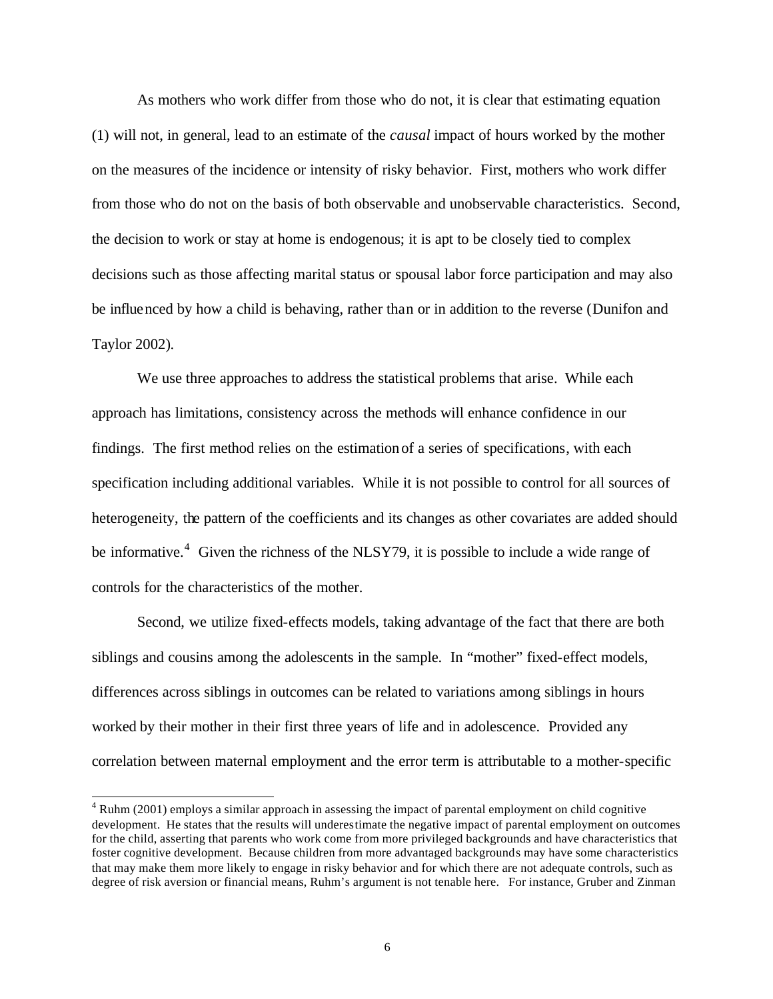As mothers who work differ from those who do not, it is clear that estimating equation (1) will not, in general, lead to an estimate of the *causal* impact of hours worked by the mother on the measures of the incidence or intensity of risky behavior. First, mothers who work differ from those who do not on the basis of both observable and unobservable characteristics. Second, the decision to work or stay at home is endogenous; it is apt to be closely tied to complex decisions such as those affecting marital status or spousal labor force participation and may also be influenced by how a child is behaving, rather than or in addition to the reverse (Dunifon and Taylor 2002).

We use three approaches to address the statistical problems that arise. While each approach has limitations, consistency across the methods will enhance confidence in our findings. The first method relies on the estimationof a series of specifications, with each specification including additional variables. While it is not possible to control for all sources of heterogeneity, the pattern of the coefficients and its changes as other covariates are added should be informative.<sup>4</sup> Given the richness of the NLSY79, it is possible to include a wide range of controls for the characteristics of the mother.

Second, we utilize fixed-effects models, taking advantage of the fact that there are both siblings and cousins among the adolescents in the sample. In "mother" fixed-effect models, differences across siblings in outcomes can be related to variations among siblings in hours worked by their mother in their first three years of life and in adolescence. Provided any correlation between maternal employment and the error term is attributable to a mother-specific

 $4$  Ruhm (2001) employs a similar approach in assessing the impact of parental employment on child cognitive development. He states that the results will underestimate the negative impact of parental employment on outcomes for the child, asserting that parents who work come from more privileged backgrounds and have characteristics that foster cognitive development. Because children from more advantaged backgrounds may have some characteristics that may make them more likely to engage in risky behavior and for which there are not adequate controls, such as degree of risk aversion or financial means, Ruhm's argument is not tenable here. For instance, Gruber and Zinman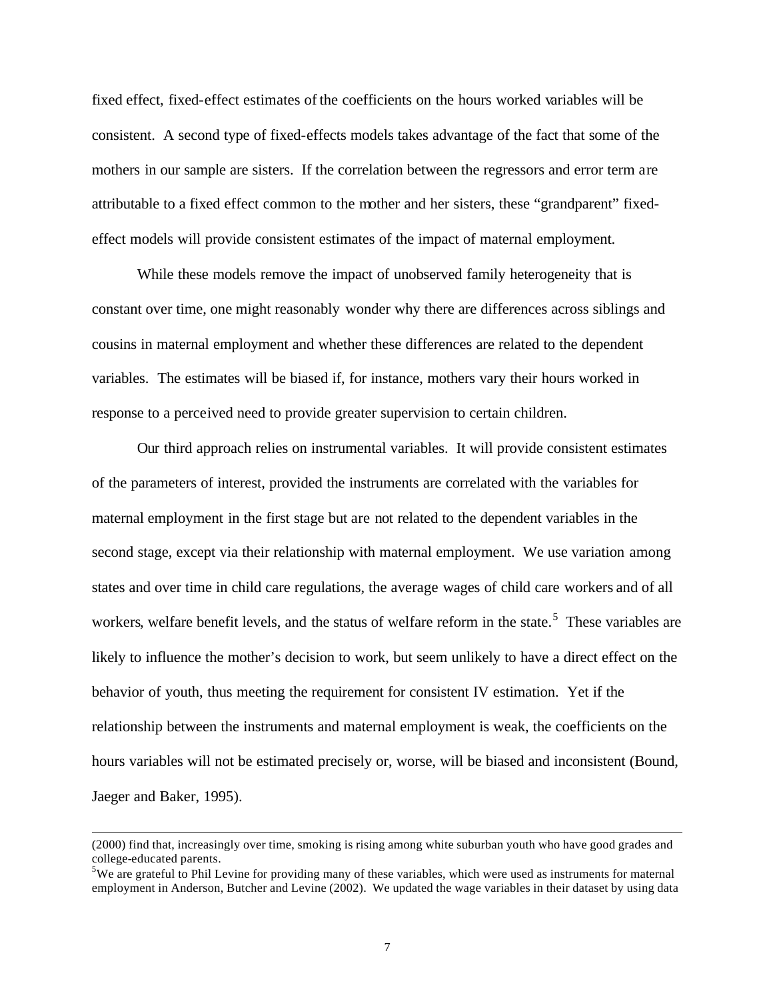fixed effect, fixed-effect estimates of the coefficients on the hours worked variables will be consistent. A second type of fixed-effects models takes advantage of the fact that some of the mothers in our sample are sisters. If the correlation between the regressors and error term are attributable to a fixed effect common to the mother and her sisters, these "grandparent" fixedeffect models will provide consistent estimates of the impact of maternal employment.

While these models remove the impact of unobserved family heterogeneity that is constant over time, one might reasonably wonder why there are differences across siblings and cousins in maternal employment and whether these differences are related to the dependent variables. The estimates will be biased if, for instance, mothers vary their hours worked in response to a perceived need to provide greater supervision to certain children.

Our third approach relies on instrumental variables. It will provide consistent estimates of the parameters of interest, provided the instruments are correlated with the variables for maternal employment in the first stage but are not related to the dependent variables in the second stage, except via their relationship with maternal employment. We use variation among states and over time in child care regulations, the average wages of child care workers and of all workers, welfare benefit levels, and the status of welfare reform in the state.<sup>5</sup> These variables are likely to influence the mother's decision to work, but seem unlikely to have a direct effect on the behavior of youth, thus meeting the requirement for consistent IV estimation. Yet if the relationship between the instruments and maternal employment is weak, the coefficients on the hours variables will not be estimated precisely or, worse, will be biased and inconsistent (Bound, Jaeger and Baker, 1995).

<sup>(2000)</sup> find that, increasingly over time, smoking is rising among white suburban youth who have good grades and college-educated parents.

 $5W$ e are grateful to Phil Levine for providing many of these variables, which were used as instruments for maternal employment in Anderson, Butcher and Levine (2002). We updated the wage variables in their dataset by using data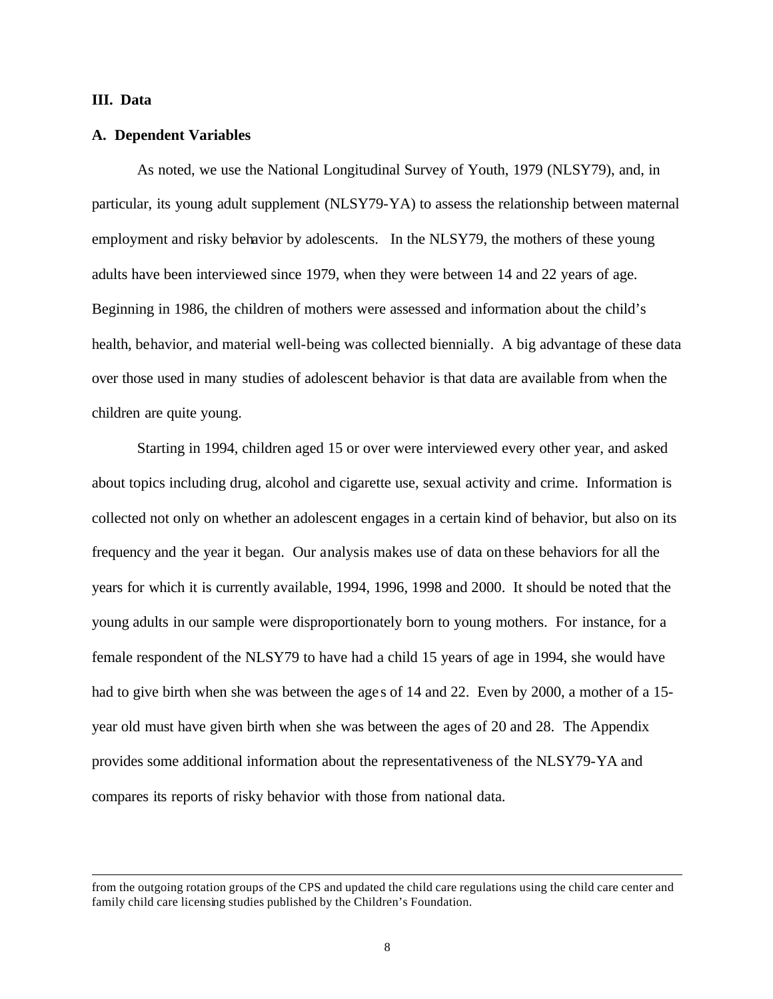### **III. Data**

l

### **A. Dependent Variables**

As noted, we use the National Longitudinal Survey of Youth, 1979 (NLSY79), and, in particular, its young adult supplement (NLSY79-YA) to assess the relationship between maternal employment and risky behavior by adolescents. In the NLSY79, the mothers of these young adults have been interviewed since 1979, when they were between 14 and 22 years of age. Beginning in 1986, the children of mothers were assessed and information about the child's health, behavior, and material well-being was collected biennially. A big advantage of these data over those used in many studies of adolescent behavior is that data are available from when the children are quite young.

Starting in 1994, children aged 15 or over were interviewed every other year, and asked about topics including drug, alcohol and cigarette use, sexual activity and crime. Information is collected not only on whether an adolescent engages in a certain kind of behavior, but also on its frequency and the year it began. Our analysis makes use of data on these behaviors for all the years for which it is currently available, 1994, 1996, 1998 and 2000. It should be noted that the young adults in our sample were disproportionately born to young mothers. For instance, for a female respondent of the NLSY79 to have had a child 15 years of age in 1994, she would have had to give birth when she was between the ages of 14 and 22. Even by 2000, a mother of a 15year old must have given birth when she was between the ages of 20 and 28. The Appendix provides some additional information about the representativeness of the NLSY79-YA and compares its reports of risky behavior with those from national data.

from the outgoing rotation groups of the CPS and updated the child care regulations using the child care center and family child care licensing studies published by the Children's Foundation.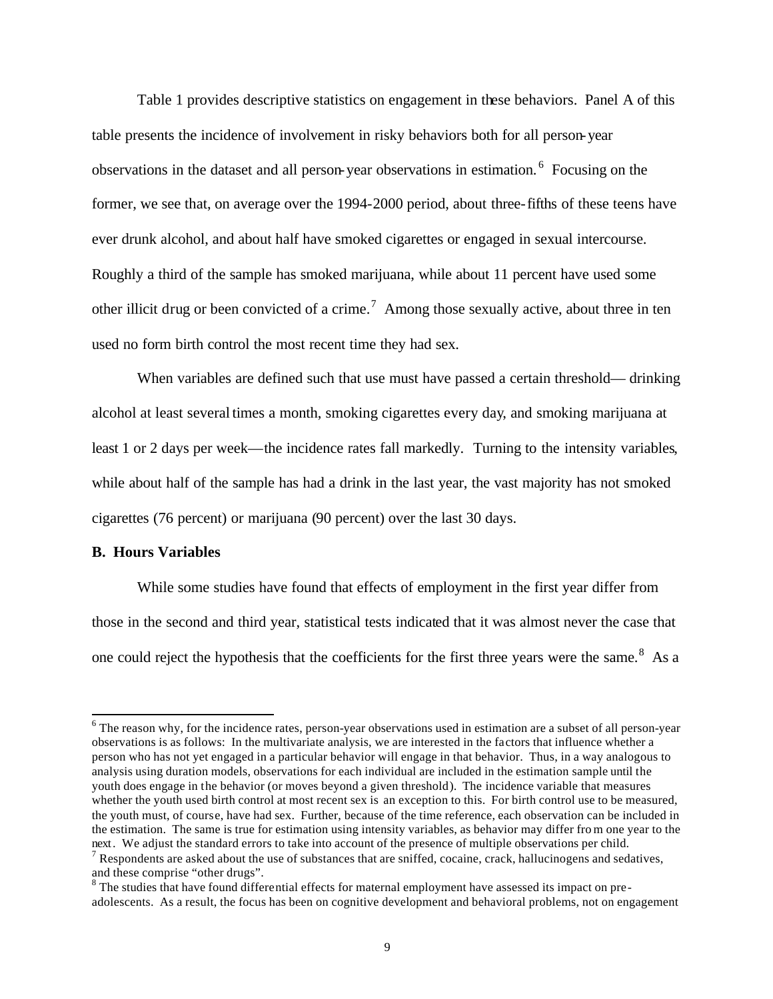Table 1 provides descriptive statistics on engagement in these behaviors. Panel A of this table presents the incidence of involvement in risky behaviors both for all person-year observations in the dataset and all person-year observations in estimation. <sup>6</sup> Focusing on the former, we see that, on average over the 1994-2000 period, about three-fifths of these teens have ever drunk alcohol, and about half have smoked cigarettes or engaged in sexual intercourse. Roughly a third of the sample has smoked marijuana, while about 11 percent have used some other illicit drug or been convicted of a crime.<sup>7</sup> Among those sexually active, about three in ten used no form birth control the most recent time they had sex.

When variables are defined such that use must have passed a certain threshold— drinking alcohol at least several times a month, smoking cigarettes every day, and smoking marijuana at least 1 or 2 days per week—the incidence rates fall markedly. Turning to the intensity variables, while about half of the sample has had a drink in the last year, the vast majority has not smoked cigarettes (76 percent) or marijuana (90 percent) over the last 30 days.

#### **B. Hours Variables**

l

While some studies have found that effects of employment in the first year differ from those in the second and third year, statistical tests indicated that it was almost never the case that one could reject the hypothesis that the coefficients for the first three years were the same.<sup>8</sup> As a

 $6$  The reason why, for the incidence rates, person-year observations used in estimation are a subset of all person-year observations is as follows: In the multivariate analysis, we are interested in the factors that influence whether a person who has not yet engaged in a particular behavior will engage in that behavior. Thus, in a way analogous to analysis using duration models, observations for each individual are included in the estimation sample until the youth does engage in the behavior (or moves beyond a given threshold). The incidence variable that measures whether the youth used birth control at most recent sex is an exception to this. For birth control use to be measured, the youth must, of course, have had sex. Further, because of the time reference, each observation can be included in the estimation. The same is true for estimation using intensity variables, as behavior may differ fro m one year to the next. We adjust the standard errors to take into account of the presence of multiple observations per child.

 $^7$  Respondents are asked about the use of substances that are sniffed, cocaine, crack, hallucinogens and sedatives, and these comprise "other drugs".

<sup>&</sup>lt;sup>8</sup> The studies that have found differential effects for maternal employment have assessed its impact on preadolescents. As a result, the focus has been on cognitive development and behavioral problems, not on engagement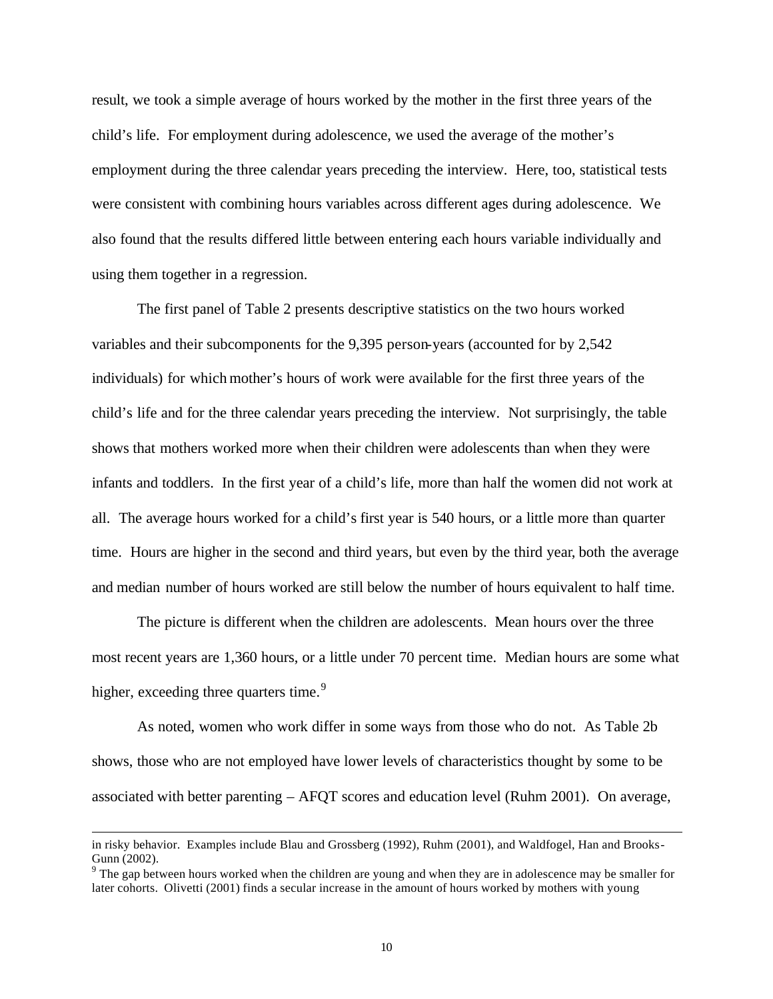result, we took a simple average of hours worked by the mother in the first three years of the child's life. For employment during adolescence, we used the average of the mother's employment during the three calendar years preceding the interview. Here, too, statistical tests were consistent with combining hours variables across different ages during adolescence. We also found that the results differed little between entering each hours variable individually and using them together in a regression.

The first panel of Table 2 presents descriptive statistics on the two hours worked variables and their subcomponents for the 9,395 person-years (accounted for by 2,542 individuals) for which mother's hours of work were available for the first three years of the child's life and for the three calendar years preceding the interview. Not surprisingly, the table shows that mothers worked more when their children were adolescents than when they were infants and toddlers. In the first year of a child's life, more than half the women did not work at all. The average hours worked for a child's first year is 540 hours, or a little more than quarter time. Hours are higher in the second and third years, but even by the third year, both the average and median number of hours worked are still below the number of hours equivalent to half time.

The picture is different when the children are adolescents. Mean hours over the three most recent years are 1,360 hours, or a little under 70 percent time. Median hours are some what higher, exceeding three quarters time.<sup>9</sup>

As noted, women who work differ in some ways from those who do not. As Table 2b shows, those who are not employed have lower levels of characteristics thought by some to be associated with better parenting – AFQT scores and education level (Ruhm 2001). On average,

in risky behavior. Examples include Blau and Grossberg (1992), Ruhm (2001), and Waldfogel, Han and Brooks-Gunn (2002).

 $9<sup>9</sup>$  The gap between hours worked when the children are young and when they are in adolescence may be smaller for later cohorts. Olivetti (2001) finds a secular increase in the amount of hours worked by mothers with young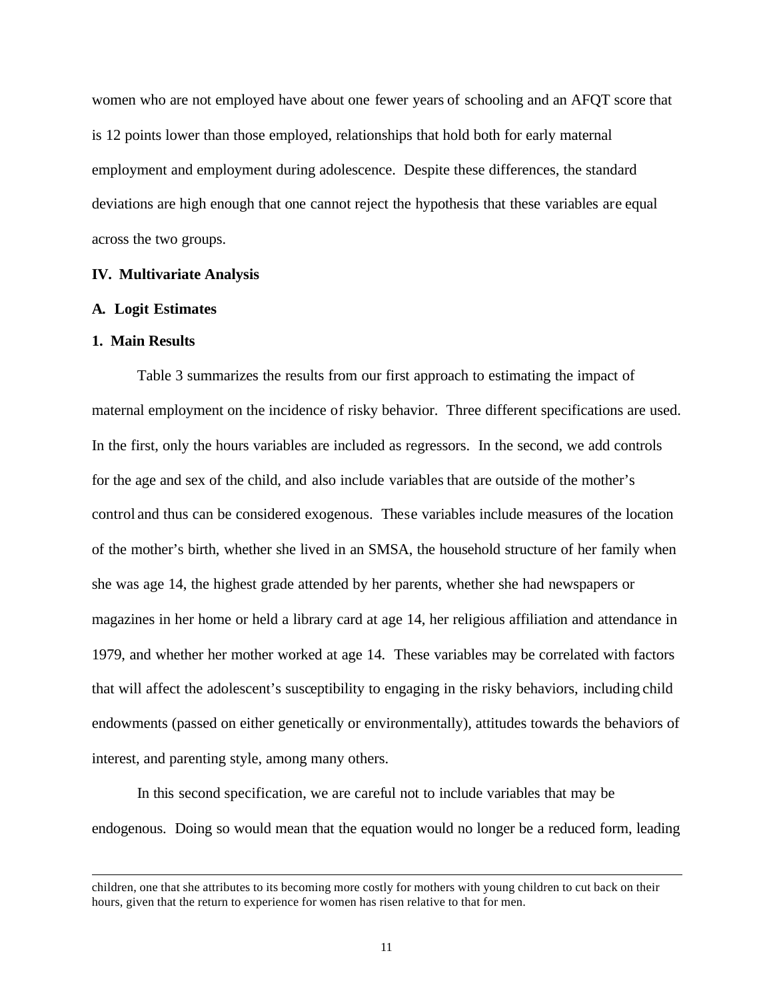women who are not employed have about one fewer years of schooling and an AFQT score that is 12 points lower than those employed, relationships that hold both for early maternal employment and employment during adolescence. Despite these differences, the standard deviations are high enough that one cannot reject the hypothesis that these variables are equal across the two groups.

### **IV. Multivariate Analysis**

### **A. Logit Estimates**

#### **1. Main Results**

l

Table 3 summarizes the results from our first approach to estimating the impact of maternal employment on the incidence of risky behavior. Three different specifications are used. In the first, only the hours variables are included as regressors. In the second, we add controls for the age and sex of the child, and also include variables that are outside of the mother's control and thus can be considered exogenous. These variables include measures of the location of the mother's birth, whether she lived in an SMSA, the household structure of her family when she was age 14, the highest grade attended by her parents, whether she had newspapers or magazines in her home or held a library card at age 14, her religious affiliation and attendance in 1979, and whether her mother worked at age 14. These variables may be correlated with factors that will affect the adolescent's susceptibility to engaging in the risky behaviors, including child endowments (passed on either genetically or environmentally), attitudes towards the behaviors of interest, and parenting style, among many others.

In this second specification, we are careful not to include variables that may be endogenous. Doing so would mean that the equation would no longer be a reduced form, leading

children, one that she attributes to its becoming more costly for mothers with young children to cut back on their hours, given that the return to experience for women has risen relative to that for men.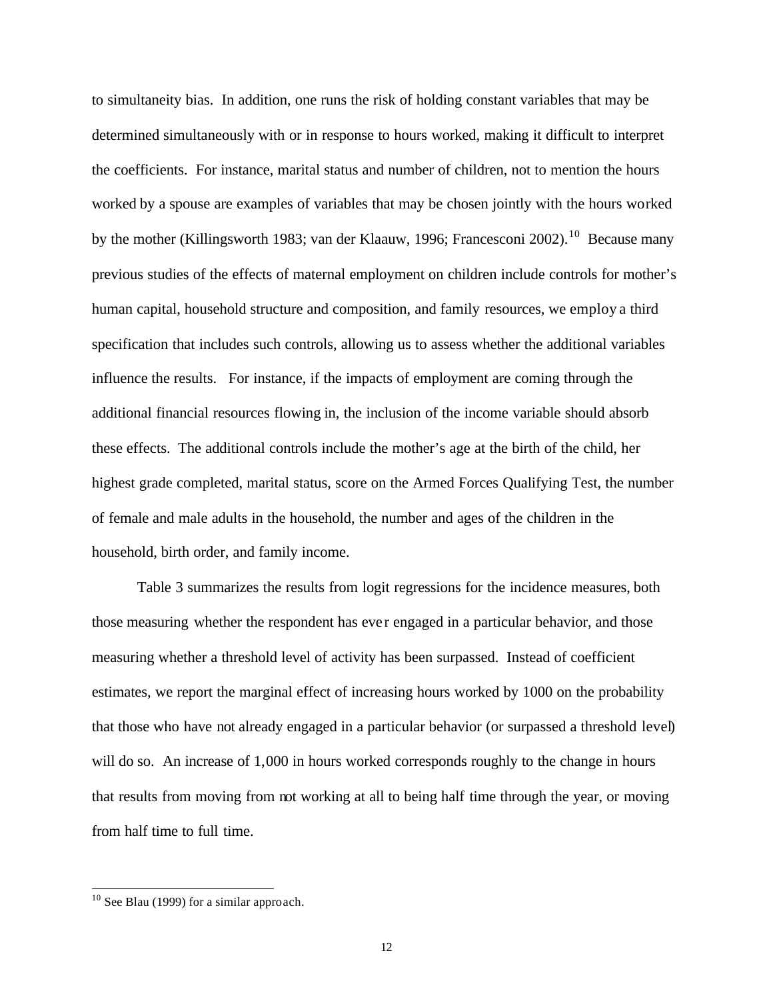to simultaneity bias. In addition, one runs the risk of holding constant variables that may be determined simultaneously with or in response to hours worked, making it difficult to interpret the coefficients. For instance, marital status and number of children, not to mention the hours worked by a spouse are examples of variables that may be chosen jointly with the hours worked by the mother (Killingsworth 1983; van der Klaauw, 1996; Francesconi 2002).<sup>10</sup> Because many previous studies of the effects of maternal employment on children include controls for mother's human capital, household structure and composition, and family resources, we employ a third specification that includes such controls, allowing us to assess whether the additional variables influence the results. For instance, if the impacts of employment are coming through the additional financial resources flowing in, the inclusion of the income variable should absorb these effects. The additional controls include the mother's age at the birth of the child, her highest grade completed, marital status, score on the Armed Forces Qualifying Test, the number of female and male adults in the household, the number and ages of the children in the household, birth order, and family income.

Table 3 summarizes the results from logit regressions for the incidence measures, both those measuring whether the respondent has ever engaged in a particular behavior, and those measuring whether a threshold level of activity has been surpassed. Instead of coefficient estimates, we report the marginal effect of increasing hours worked by 1000 on the probability that those who have not already engaged in a particular behavior (or surpassed a threshold level) will do so. An increase of 1,000 in hours worked corresponds roughly to the change in hours that results from moving from not working at all to being half time through the year, or moving from half time to full time.

 $10$  See Blau (1999) for a similar approach.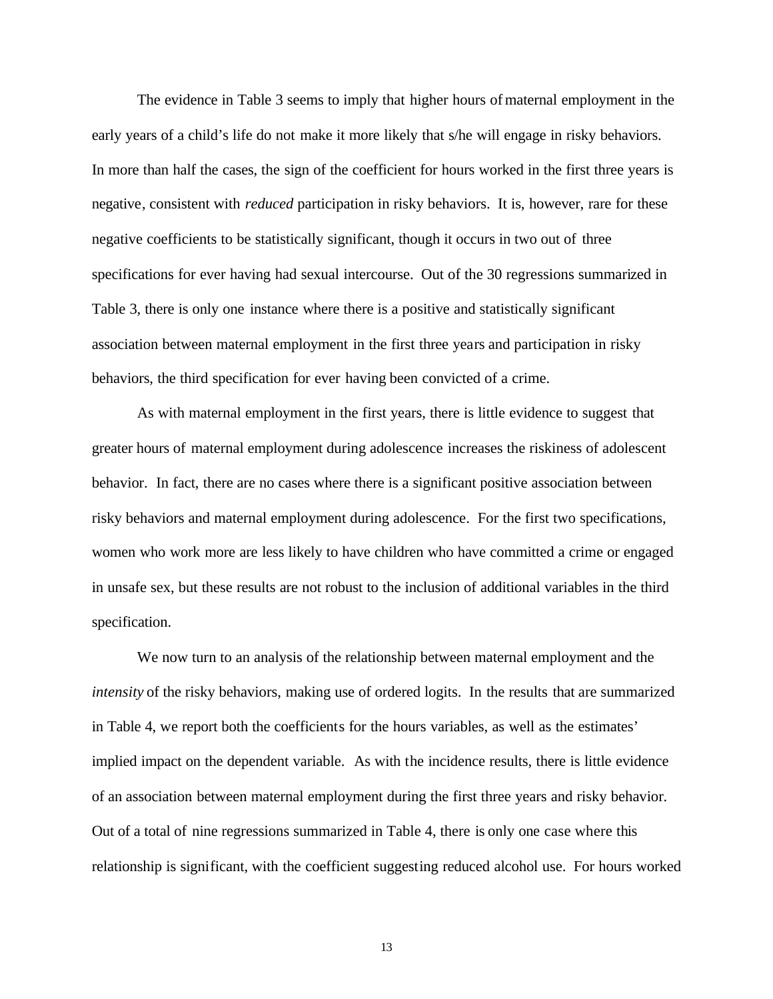The evidence in Table 3 seems to imply that higher hours of maternal employment in the early years of a child's life do not make it more likely that s/he will engage in risky behaviors. In more than half the cases, the sign of the coefficient for hours worked in the first three years is negative, consistent with *reduced* participation in risky behaviors. It is, however, rare for these negative coefficients to be statistically significant, though it occurs in two out of three specifications for ever having had sexual intercourse. Out of the 30 regressions summarized in Table 3, there is only one instance where there is a positive and statistically significant association between maternal employment in the first three years and participation in risky behaviors, the third specification for ever having been convicted of a crime.

As with maternal employment in the first years, there is little evidence to suggest that greater hours of maternal employment during adolescence increases the riskiness of adolescent behavior. In fact, there are no cases where there is a significant positive association between risky behaviors and maternal employment during adolescence. For the first two specifications, women who work more are less likely to have children who have committed a crime or engaged in unsafe sex, but these results are not robust to the inclusion of additional variables in the third specification.

We now turn to an analysis of the relationship between maternal employment and the *intensity* of the risky behaviors, making use of ordered logits. In the results that are summarized in Table 4, we report both the coefficients for the hours variables, as well as the estimates' implied impact on the dependent variable. As with the incidence results, there is little evidence of an association between maternal employment during the first three years and risky behavior. Out of a total of nine regressions summarized in Table 4, there is only one case where this relationship is significant, with the coefficient suggesting reduced alcohol use. For hours worked

13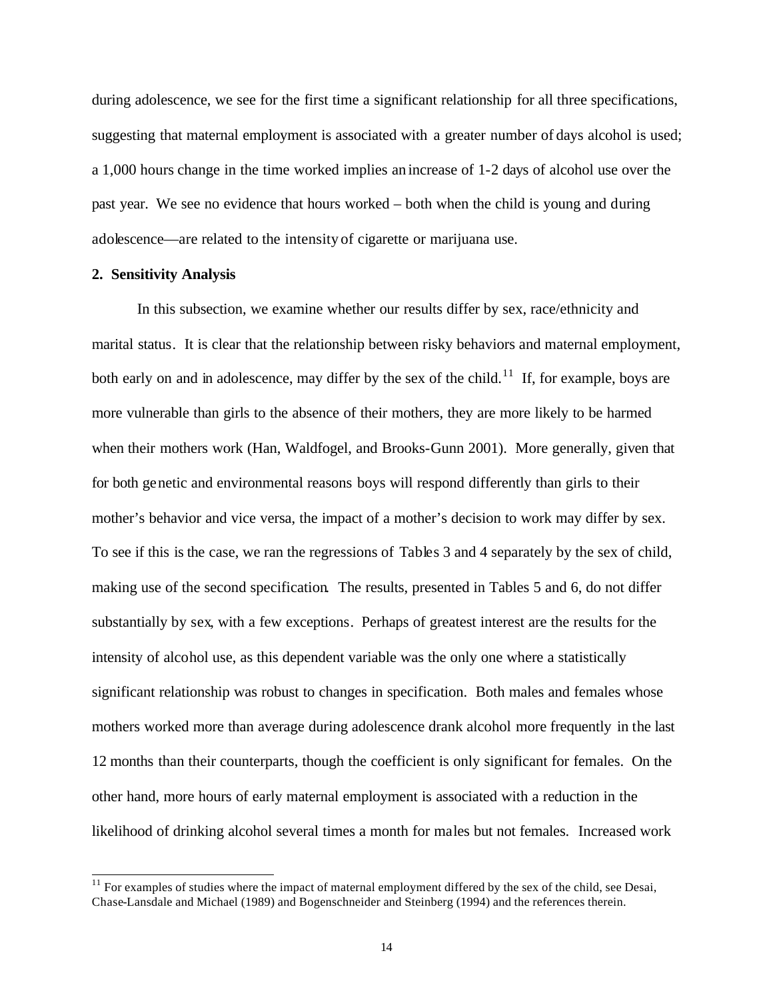during adolescence, we see for the first time a significant relationship for all three specifications, suggesting that maternal employment is associated with a greater number of days alcohol is used; a 1,000 hours change in the time worked implies an increase of 1-2 days of alcohol use over the past year. We see no evidence that hours worked – both when the child is young and during adolescence—are related to the intensity of cigarette or marijuana use.

### **2. Sensitivity Analysis**

l

In this subsection, we examine whether our results differ by sex, race/ethnicity and marital status. It is clear that the relationship between risky behaviors and maternal employment, both early on and in adolescence, may differ by the sex of the child.<sup>11</sup> If, for example, boys are more vulnerable than girls to the absence of their mothers, they are more likely to be harmed when their mothers work (Han, Waldfogel, and Brooks-Gunn 2001). More generally, given that for both genetic and environmental reasons boys will respond differently than girls to their mother's behavior and vice versa, the impact of a mother's decision to work may differ by sex. To see if this is the case, we ran the regressions of Tables 3 and 4 separately by the sex of child, making use of the second specification. The results, presented in Tables 5 and 6, do not differ substantially by sex, with a few exceptions. Perhaps of greatest interest are the results for the intensity of alcohol use, as this dependent variable was the only one where a statistically significant relationship was robust to changes in specification. Both males and females whose mothers worked more than average during adolescence drank alcohol more frequently in the last 12 months than their counterparts, though the coefficient is only significant for females. On the other hand, more hours of early maternal employment is associated with a reduction in the likelihood of drinking alcohol several times a month for males but not females. Increased work

 $11$  For examples of studies where the impact of maternal employment differed by the sex of the child, see Desai, Chase-Lansdale and Michael (1989) and Bogenschneider and Steinberg (1994) and the references therein.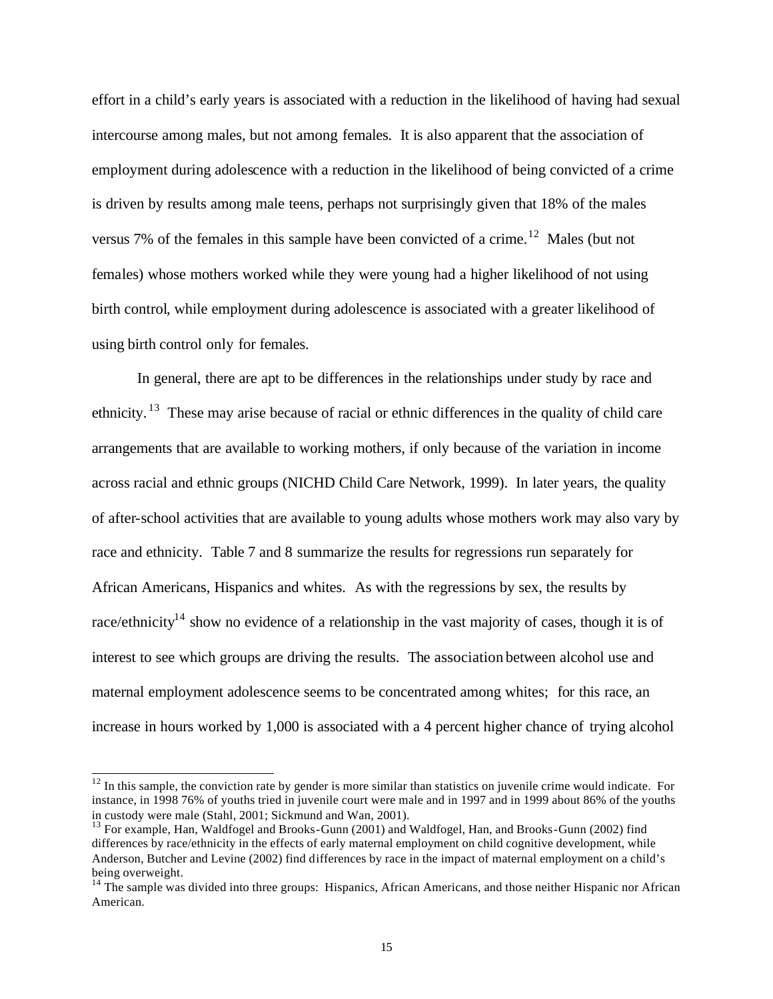effort in a child's early years is associated with a reduction in the likelihood of having had sexual intercourse among males, but not among females. It is also apparent that the association of employment during adolescence with a reduction in the likelihood of being convicted of a crime is driven by results among male teens, perhaps not surprisingly given that 18% of the males versus 7% of the females in this sample have been convicted of a crime.<sup>12</sup> Males (but not females) whose mothers worked while they were young had a higher likelihood of not using birth control, while employment during adolescence is associated with a greater likelihood of using birth control only for females.

In general, there are apt to be differences in the relationships under study by race and ethnicity. <sup>13</sup> These may arise because of racial or ethnic differences in the quality of child care arrangements that are available to working mothers, if only because of the variation in income across racial and ethnic groups (NICHD Child Care Network, 1999). In later years, the quality of after-school activities that are available to young adults whose mothers work may also vary by race and ethnicity. Table 7 and 8 summarize the results for regressions run separately for African Americans, Hispanics and whites. As with the regressions by sex, the results by race/ethnicity<sup>14</sup> show no evidence of a relationship in the vast majority of cases, though it is of interest to see which groups are driving the results. The association between alcohol use and maternal employment adolescence seems to be concentrated among whites; for this race, an increase in hours worked by 1,000 is associated with a 4 percent higher chance of trying alcohol

 $12$  In this sample, the conviction rate by gender is more similar than statistics on juvenile crime would indicate. For instance, in 1998 76% of youths tried in juvenile court were male and in 1997 and in 1999 about 86% of the youths in custody were male (Stahl, 2001; Sickmund and Wan, 2001).

<sup>&</sup>lt;sup>13</sup> For example, Han, Waldfogel and Brooks-Gunn (2001) and Waldfogel, Han, and Brooks-Gunn (2002) find differences by race/ethnicity in the effects of early maternal employment on child cognitive development, while Anderson, Butcher and Levine (2002) find differences by race in the impact of maternal employment on a child's being overweight.

<sup>&</sup>lt;sup>14</sup> The sample was divided into three groups: Hispanics, African Americans, and those neither Hispanic nor African American.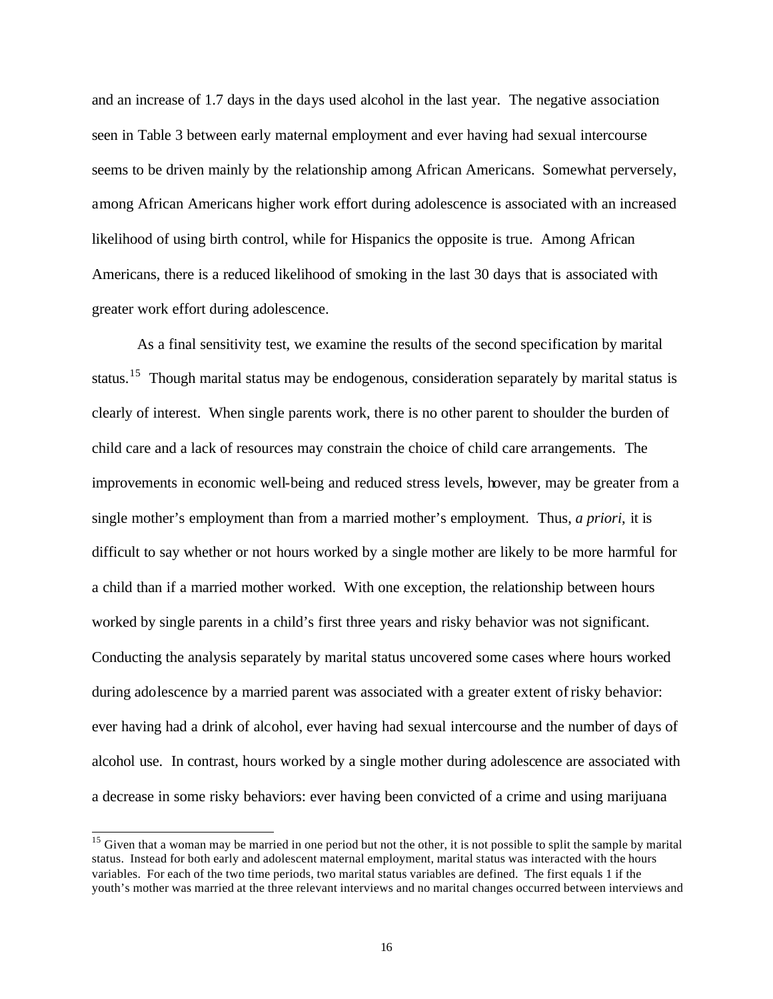and an increase of 1.7 days in the days used alcohol in the last year. The negative association seen in Table 3 between early maternal employment and ever having had sexual intercourse seems to be driven mainly by the relationship among African Americans. Somewhat perversely, among African Americans higher work effort during adolescence is associated with an increased likelihood of using birth control, while for Hispanics the opposite is true. Among African Americans, there is a reduced likelihood of smoking in the last 30 days that is associated with greater work effort during adolescence.

As a final sensitivity test, we examine the results of the second specification by marital status.<sup>15</sup> Though marital status may be endogenous, consideration separately by marital status is clearly of interest. When single parents work, there is no other parent to shoulder the burden of child care and a lack of resources may constrain the choice of child care arrangements. The improvements in economic well-being and reduced stress levels, however, may be greater from a single mother's employment than from a married mother's employment. Thus, *a priori*, it is difficult to say whether or not hours worked by a single mother are likely to be more harmful for a child than if a married mother worked. With one exception, the relationship between hours worked by single parents in a child's first three years and risky behavior was not significant. Conducting the analysis separately by marital status uncovered some cases where hours worked during adolescence by a married parent was associated with a greater extent of risky behavior: ever having had a drink of alcohol, ever having had sexual intercourse and the number of days of alcohol use. In contrast, hours worked by a single mother during adolescence are associated with a decrease in some risky behaviors: ever having been convicted of a crime and using marijuana

 $15$  Given that a woman may be married in one period but not the other, it is not possible to split the sample by marital status. Instead for both early and adolescent maternal employment, marital status was interacted with the hours variables. For each of the two time periods, two marital status variables are defined. The first equals 1 if the youth's mother was married at the three relevant interviews and no marital changes occurred between interviews and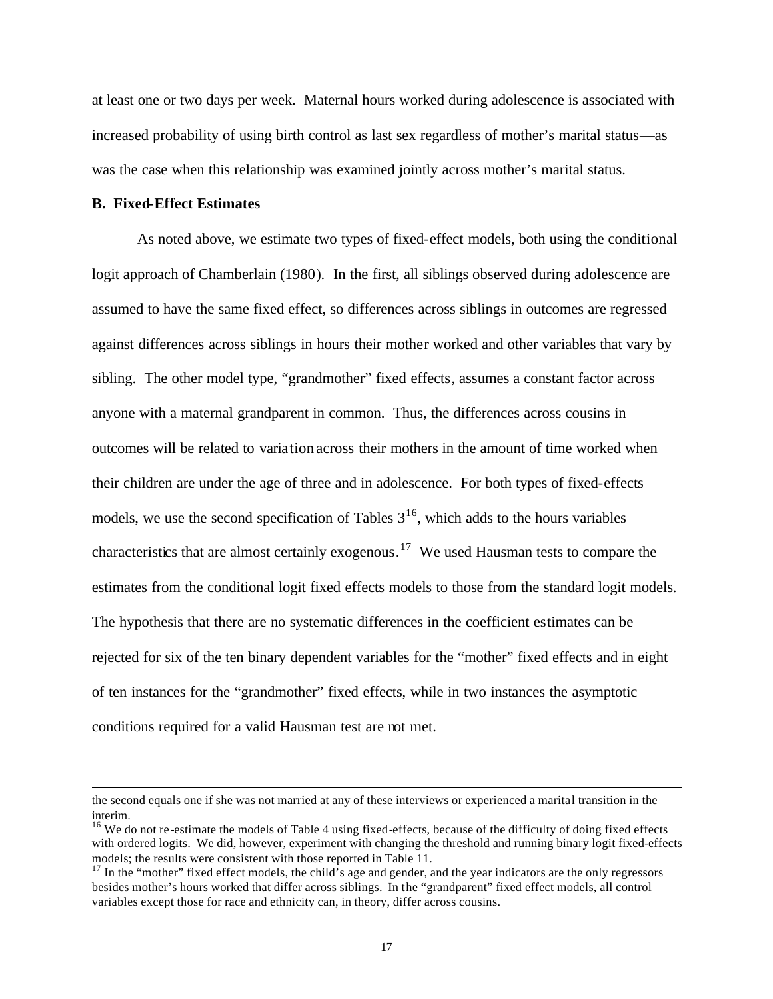at least one or two days per week. Maternal hours worked during adolescence is associated with increased probability of using birth control as last sex regardless of mother's marital status—as was the case when this relationship was examined jointly across mother's marital status.

### **B. Fixed-Effect Estimates**

l

As noted above, we estimate two types of fixed-effect models, both using the conditional logit approach of Chamberlain (1980). In the first, all siblings observed during adolescence are assumed to have the same fixed effect, so differences across siblings in outcomes are regressed against differences across siblings in hours their mother worked and other variables that vary by sibling. The other model type, "grandmother" fixed effects, assumes a constant factor across anyone with a maternal grandparent in common. Thus, the differences across cousins in outcomes will be related to variation across their mothers in the amount of time worked when their children are under the age of three and in adolescence. For both types of fixed-effects models, we use the second specification of Tables  $3^{16}$ , which adds to the hours variables characteristics that are almost certainly exogenous.<sup>17</sup> We used Hausman tests to compare the estimates from the conditional logit fixed effects models to those from the standard logit models. The hypothesis that there are no systematic differences in the coefficient estimates can be rejected for six of the ten binary dependent variables for the "mother" fixed effects and in eight of ten instances for the "grandmother" fixed effects, while in two instances the asymptotic conditions required for a valid Hausman test are not met.

the second equals one if she was not married at any of these interviews or experienced a marital transition in the interim.

<sup>&</sup>lt;sup>16</sup> We do not re-estimate the models of Table 4 using fixed-effects, because of the difficulty of doing fixed effects with ordered logits. We did, however, experiment with changing the threshold and running binary logit fixed-effects models; the results were consistent with those reported in Table 11.

 $17$  In the "mother" fixed effect models, the child's age and gender, and the year indicators are the only regressors besides mother's hours worked that differ across siblings. In the "grandparent" fixed effect models, all control variables except those for race and ethnicity can, in theory, differ across cousins.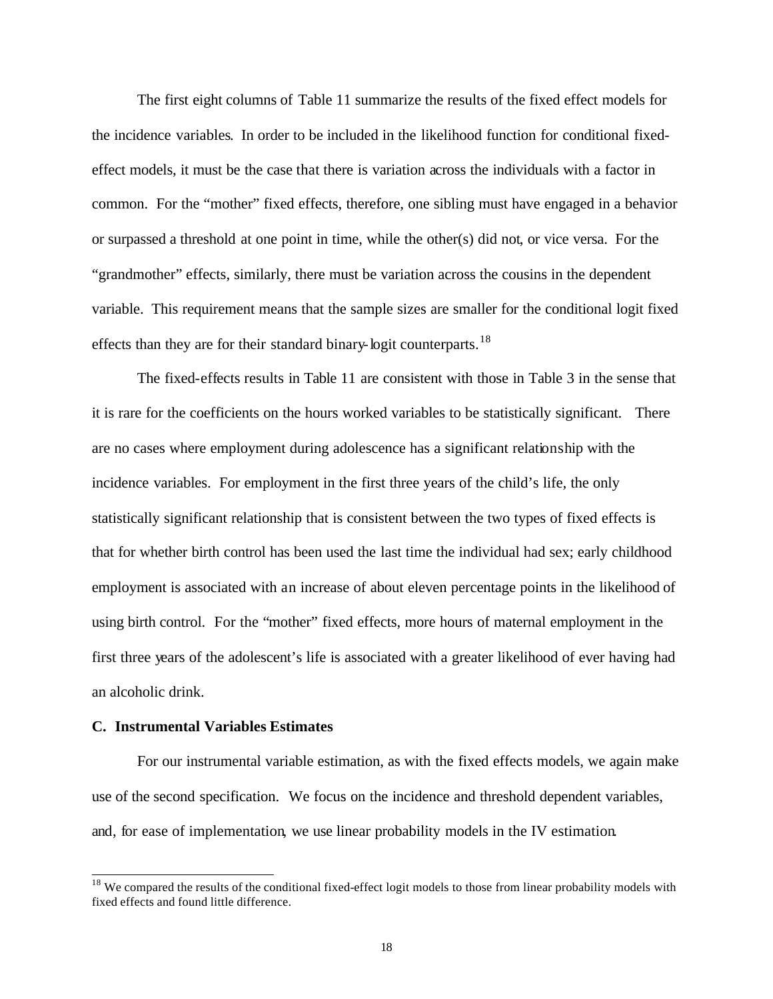The first eight columns of Table 11 summarize the results of the fixed effect models for the incidence variables. In order to be included in the likelihood function for conditional fixedeffect models, it must be the case that there is variation across the individuals with a factor in common. For the "mother" fixed effects, therefore, one sibling must have engaged in a behavior or surpassed a threshold at one point in time, while the other(s) did not, or vice versa. For the "grandmother" effects, similarly, there must be variation across the cousins in the dependent variable. This requirement means that the sample sizes are smaller for the conditional logit fixed effects than they are for their standard binary-logit counterparts.<sup>18</sup>

The fixed-effects results in Table 11 are consistent with those in Table 3 in the sense that it is rare for the coefficients on the hours worked variables to be statistically significant. There are no cases where employment during adolescence has a significant relationship with the incidence variables. For employment in the first three years of the child's life, the only statistically significant relationship that is consistent between the two types of fixed effects is that for whether birth control has been used the last time the individual had sex; early childhood employment is associated with an increase of about eleven percentage points in the likelihood of using birth control. For the "mother" fixed effects, more hours of maternal employment in the first three years of the adolescent's life is associated with a greater likelihood of ever having had an alcoholic drink.

#### **C. Instrumental Variables Estimates**

l

For our instrumental variable estimation, as with the fixed effects models, we again make use of the second specification. We focus on the incidence and threshold dependent variables, and, for ease of implementation, we use linear probability models in the IV estimation.

 $18$  We compared the results of the conditional fixed-effect logit models to those from linear probability models with fixed effects and found little difference.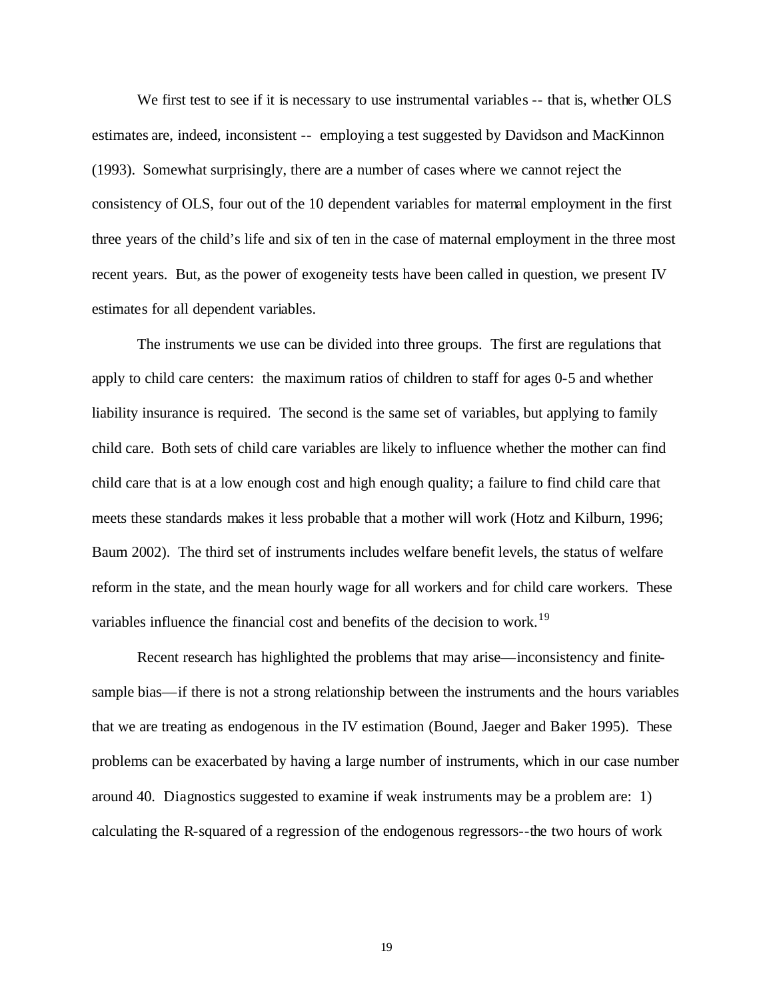We first test to see if it is necessary to use instrumental variables -- that is, whether OLS estimates are, indeed, inconsistent -- employing a test suggested by Davidson and MacKinnon (1993). Somewhat surprisingly, there are a number of cases where we cannot reject the consistency of OLS, four out of the 10 dependent variables for maternal employment in the first three years of the child's life and six of ten in the case of maternal employment in the three most recent years. But, as the power of exogeneity tests have been called in question, we present IV estimates for all dependent variables.

The instruments we use can be divided into three groups. The first are regulations that apply to child care centers: the maximum ratios of children to staff for ages 0-5 and whether liability insurance is required. The second is the same set of variables, but applying to family child care. Both sets of child care variables are likely to influence whether the mother can find child care that is at a low enough cost and high enough quality; a failure to find child care that meets these standards makes it less probable that a mother will work (Hotz and Kilburn, 1996; Baum 2002). The third set of instruments includes welfare benefit levels, the status of welfare reform in the state, and the mean hourly wage for all workers and for child care workers. These variables influence the financial cost and benefits of the decision to work.<sup>19</sup>

Recent research has highlighted the problems that may arise—inconsistency and finitesample bias—if there is not a strong relationship between the instruments and the hours variables that we are treating as endogenous in the IV estimation (Bound, Jaeger and Baker 1995). These problems can be exacerbated by having a large number of instruments, which in our case number around 40. Diagnostics suggested to examine if weak instruments may be a problem are: 1) calculating the R-squared of a regression of the endogenous regressors--the two hours of work

19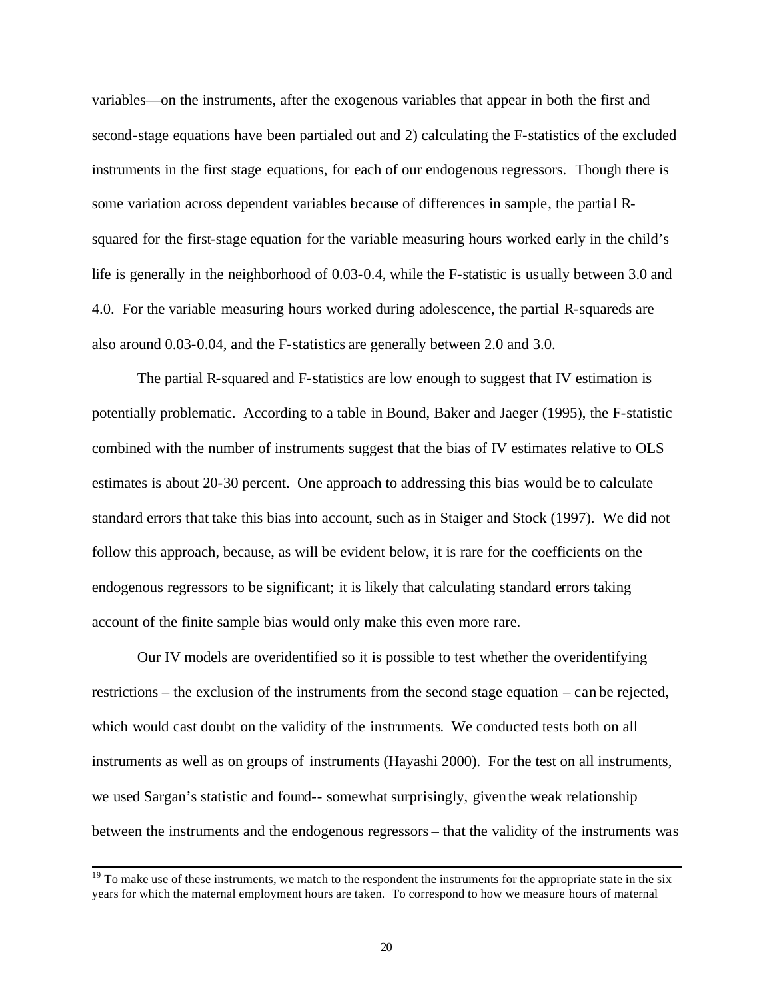variables—on the instruments, after the exogenous variables that appear in both the first and second-stage equations have been partialed out and 2) calculating the F-statistics of the excluded instruments in the first stage equations, for each of our endogenous regressors. Though there is some variation across dependent variables because of differences in sample, the partial Rsquared for the first-stage equation for the variable measuring hours worked early in the child's life is generally in the neighborhood of 0.03-0.4, while the F-statistic is usually between 3.0 and 4.0. For the variable measuring hours worked during adolescence, the partial R-squareds are also around 0.03-0.04, and the F-statistics are generally between 2.0 and 3.0.

The partial R-squared and F-statistics are low enough to suggest that IV estimation is potentially problematic. According to a table in Bound, Baker and Jaeger (1995), the F-statistic combined with the number of instruments suggest that the bias of IV estimates relative to OLS estimates is about 20-30 percent. One approach to addressing this bias would be to calculate standard errors that take this bias into account, such as in Staiger and Stock (1997). We did not follow this approach, because, as will be evident below, it is rare for the coefficients on the endogenous regressors to be significant; it is likely that calculating standard errors taking account of the finite sample bias would only make this even more rare.

Our IV models are overidentified so it is possible to test whether the overidentifying restrictions – the exclusion of the instruments from the second stage equation – can be rejected, which would cast doubt on the validity of the instruments. We conducted tests both on all instruments as well as on groups of instruments (Hayashi 2000). For the test on all instruments, we used Sargan's statistic and found-- somewhat surprisingly, given the weak relationship between the instruments and the endogenous regressors – that the validity of the instruments was

 $19$  To make use of these instruments, we match to the respondent the instruments for the appropriate state in the six years for which the maternal employment hours are taken. To correspond to how we measure hours of maternal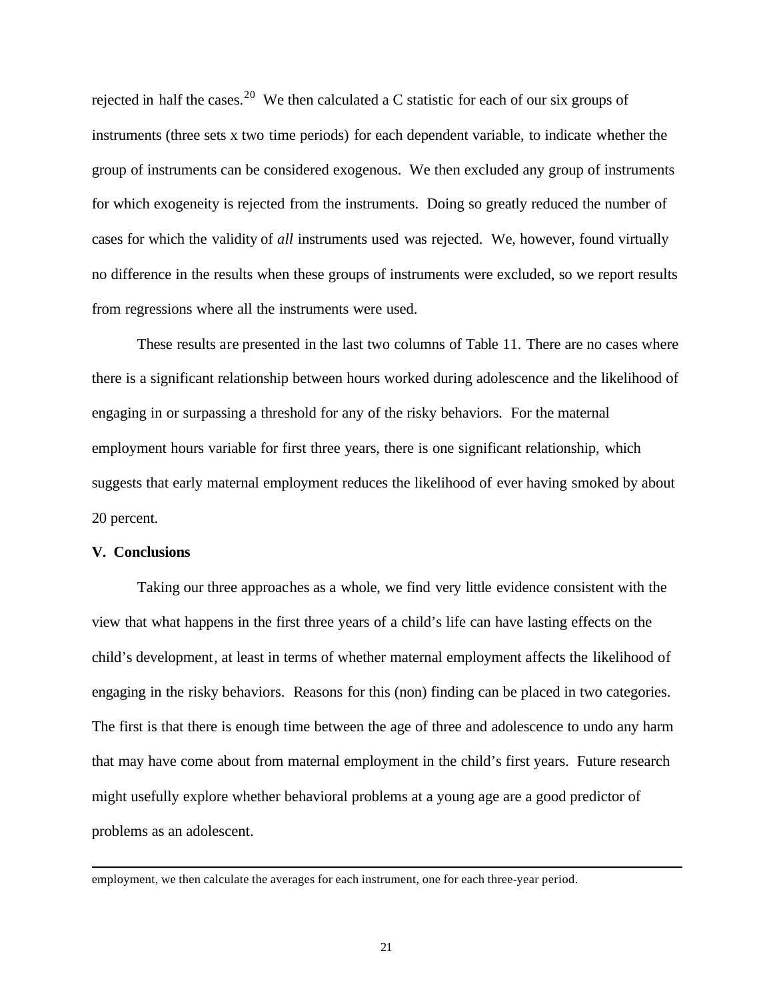rejected in half the cases.<sup>20</sup> We then calculated a C statistic for each of our six groups of instruments (three sets x two time periods) for each dependent variable, to indicate whether the group of instruments can be considered exogenous. We then excluded any group of instruments for which exogeneity is rejected from the instruments. Doing so greatly reduced the number of cases for which the validity of *all* instruments used was rejected. We, however, found virtually no difference in the results when these groups of instruments were excluded, so we report results from regressions where all the instruments were used.

These results are presented in the last two columns of Table 11. There are no cases where there is a significant relationship between hours worked during adolescence and the likelihood of engaging in or surpassing a threshold for any of the risky behaviors. For the maternal employment hours variable for first three years, there is one significant relationship, which suggests that early maternal employment reduces the likelihood of ever having smoked by about 20 percent.

#### **V. Conclusions**

l

Taking our three approaches as a whole, we find very little evidence consistent with the view that what happens in the first three years of a child's life can have lasting effects on the child's development, at least in terms of whether maternal employment affects the likelihood of engaging in the risky behaviors. Reasons for this (non) finding can be placed in two categories. The first is that there is enough time between the age of three and adolescence to undo any harm that may have come about from maternal employment in the child's first years. Future research might usefully explore whether behavioral problems at a young age are a good predictor of problems as an adolescent.

employment, we then calculate the averages for each instrument, one for each three-year period.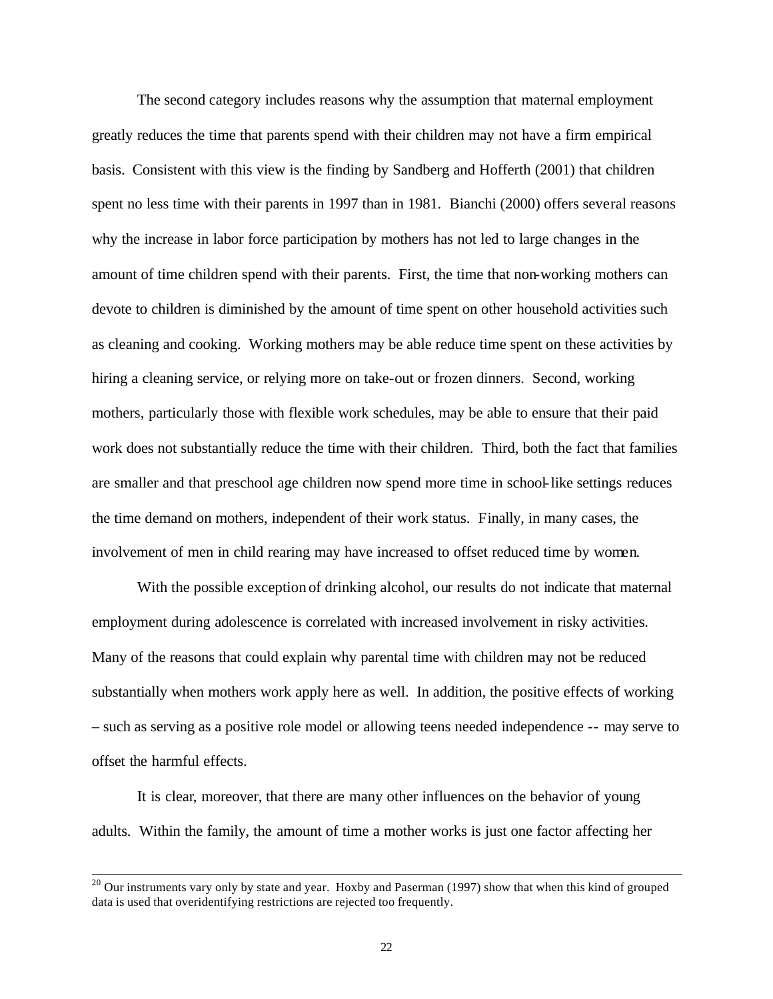The second category includes reasons why the assumption that maternal employment greatly reduces the time that parents spend with their children may not have a firm empirical basis. Consistent with this view is the finding by Sandberg and Hofferth (2001) that children spent no less time with their parents in 1997 than in 1981. Bianchi (2000) offers several reasons why the increase in labor force participation by mothers has not led to large changes in the amount of time children spend with their parents. First, the time that non-working mothers can devote to children is diminished by the amount of time spent on other household activities such as cleaning and cooking. Working mothers may be able reduce time spent on these activities by hiring a cleaning service, or relying more on take-out or frozen dinners. Second, working mothers, particularly those with flexible work schedules, may be able to ensure that their paid work does not substantially reduce the time with their children. Third, both the fact that families are smaller and that preschool age children now spend more time in school-like settings reduces the time demand on mothers, independent of their work status. Finally, in many cases, the involvement of men in child rearing may have increased to offset reduced time by women.

With the possible exception of drinking alcohol, our results do not indicate that maternal employment during adolescence is correlated with increased involvement in risky activities. Many of the reasons that could explain why parental time with children may not be reduced substantially when mothers work apply here as well. In addition, the positive effects of working – such as serving as a positive role model or allowing teens needed independence -- may serve to offset the harmful effects.

It is clear, moreover, that there are many other influences on the behavior of young adults. Within the family, the amount of time a mother works is just one factor affecting her

 $20$  Our instruments vary only by state and year. Hoxby and Paserman (1997) show that when this kind of grouped data is used that overidentifying restrictions are rejected too frequently.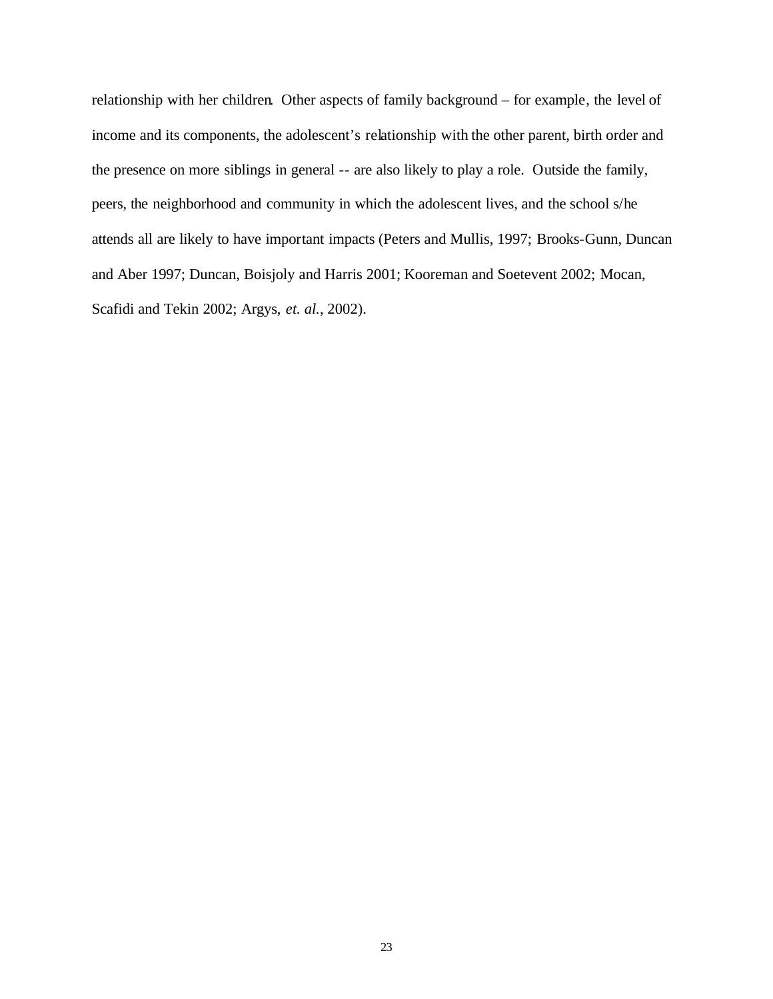relationship with her children. Other aspects of family background – for example, the level of income and its components, the adolescent's relationship with the other parent, birth order and the presence on more siblings in general -- are also likely to play a role. Outside the family, peers, the neighborhood and community in which the adolescent lives, and the school s/he attends all are likely to have important impacts (Peters and Mullis, 1997; Brooks-Gunn, Duncan and Aber 1997; Duncan, Boisjoly and Harris 2001; Kooreman and Soetevent 2002; Mocan, Scafidi and Tekin 2002; Argys, *et. al.*, 2002).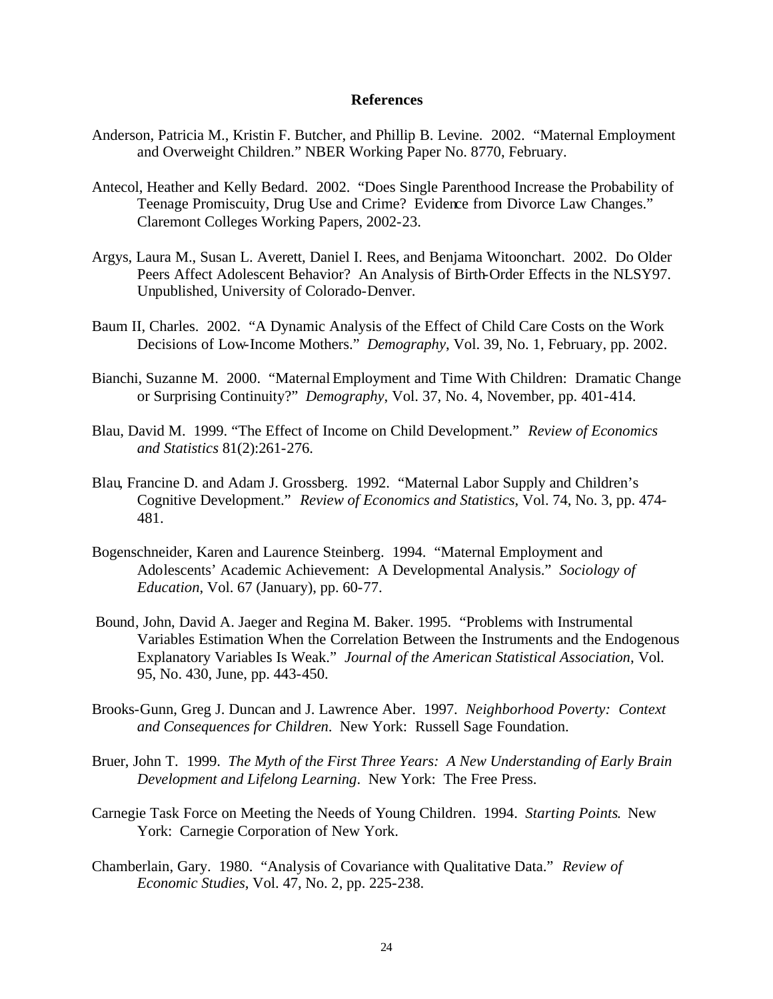#### **References**

- Anderson, Patricia M., Kristin F. Butcher, and Phillip B. Levine. 2002. "Maternal Employment and Overweight Children." NBER Working Paper No. 8770, February.
- Antecol, Heather and Kelly Bedard. 2002. "Does Single Parenthood Increase the Probability of Teenage Promiscuity, Drug Use and Crime? Evidence from Divorce Law Changes." Claremont Colleges Working Papers, 2002-23.
- Argys, Laura M., Susan L. Averett, Daniel I. Rees, and Benjama Witoonchart. 2002. Do Older Peers Affect Adolescent Behavior? An Analysis of Birth-Order Effects in the NLSY97. Unpublished, University of Colorado-Denver.
- Baum II, Charles. 2002. "A Dynamic Analysis of the Effect of Child Care Costs on the Work Decisions of Low-Income Mothers." *Demography*, Vol. 39, No. 1, February, pp. 2002.
- Bianchi, Suzanne M. 2000. "Maternal Employment and Time With Children: Dramatic Change or Surprising Continuity?" *Demography*, Vol. 37, No. 4, November, pp. 401-414.
- Blau, David M. 1999. "The Effect of Income on Child Development." *Review of Economics and Statistics* 81(2):261-276.
- Blau, Francine D. and Adam J. Grossberg. 1992. "Maternal Labor Supply and Children's Cognitive Development." *Review of Economics and Statistics*, Vol. 74, No. 3, pp. 474- 481.
- Bogenschneider, Karen and Laurence Steinberg. 1994. "Maternal Employment and Adolescents' Academic Achievement: A Developmental Analysis." *Sociology of Education*, Vol. 67 (January), pp. 60-77.
- Bound, John, David A. Jaeger and Regina M. Baker. 1995. "Problems with Instrumental Variables Estimation When the Correlation Between the Instruments and the Endogenous Explanatory Variables Is Weak." *Journal of the American Statistical Association*, Vol. 95, No. 430, June, pp. 443-450.
- Brooks-Gunn, Greg J. Duncan and J. Lawrence Aber. 1997. *Neighborhood Poverty: Context and Consequences for Children*. New York: Russell Sage Foundation.
- Bruer, John T. 1999. *The Myth of the First Three Years: A New Understanding of Early Brain Development and Lifelong Learning*. New York: The Free Press.
- Carnegie Task Force on Meeting the Needs of Young Children. 1994. *Starting Points*. New York: Carnegie Corporation of New York.
- Chamberlain, Gary. 1980. "Analysis of Covariance with Qualitative Data." *Review of Economic Studies*, Vol. 47, No. 2, pp. 225-238.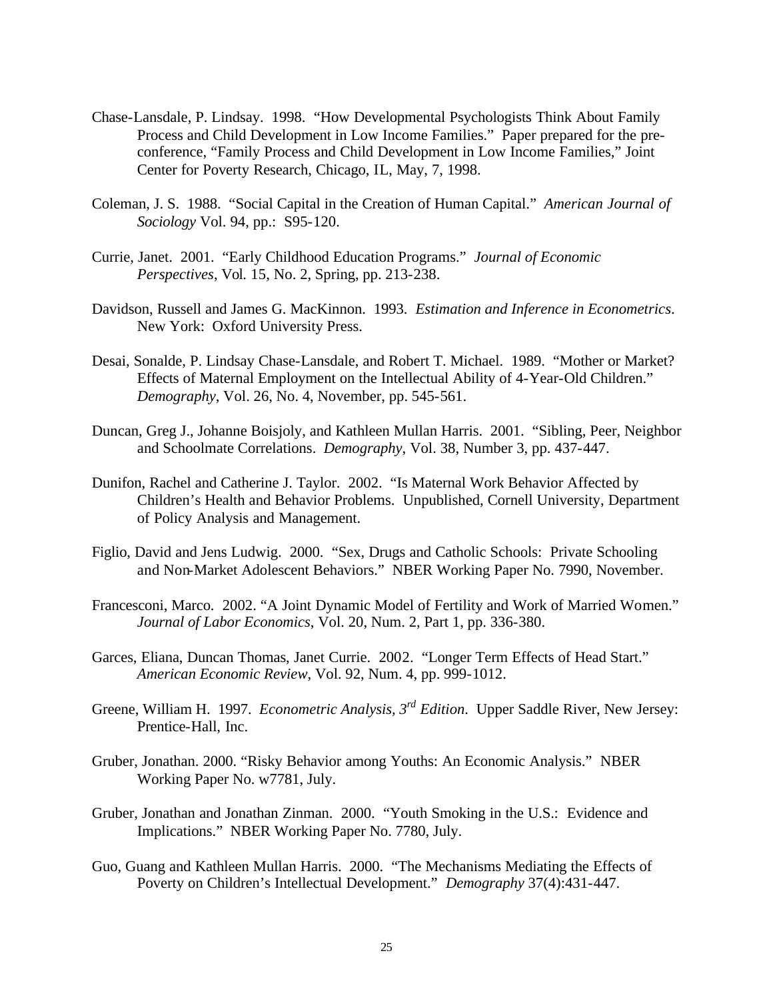- Chase-Lansdale, P. Lindsay. 1998. "How Developmental Psychologists Think About Family Process and Child Development in Low Income Families." Paper prepared for the preconference, "Family Process and Child Development in Low Income Families," Joint Center for Poverty Research, Chicago, IL, May, 7, 1998.
- Coleman, J. S. 1988. "Social Capital in the Creation of Human Capital." *American Journal of Sociology* Vol. 94, pp.: S95-120.
- Currie, Janet. 2001. "Early Childhood Education Programs." *Journal of Economic Perspectives*, Vol. 15, No. 2, Spring, pp. 213-238.
- Davidson, Russell and James G. MacKinnon. 1993. *Estimation and Inference in Econometrics*. New York: Oxford University Press.
- Desai, Sonalde, P. Lindsay Chase-Lansdale, and Robert T. Michael. 1989. "Mother or Market? Effects of Maternal Employment on the Intellectual Ability of 4-Year-Old Children." *Demography*, Vol. 26, No. 4, November, pp. 545-561.
- Duncan, Greg J., Johanne Boisjoly, and Kathleen Mullan Harris. 2001. "Sibling, Peer, Neighbor and Schoolmate Correlations. *Demography*, Vol. 38, Number 3, pp. 437-447.
- Dunifon, Rachel and Catherine J. Taylor. 2002. "Is Maternal Work Behavior Affected by Children's Health and Behavior Problems. Unpublished, Cornell University, Department of Policy Analysis and Management.
- Figlio, David and Jens Ludwig. 2000. "Sex, Drugs and Catholic Schools: Private Schooling and Non-Market Adolescent Behaviors." NBER Working Paper No. 7990, November.
- Francesconi, Marco. 2002. "A Joint Dynamic Model of Fertility and Work of Married Women." *Journal of Labor Economics*, Vol. 20, Num. 2, Part 1, pp. 336-380.
- Garces, Eliana, Duncan Thomas, Janet Currie. 2002. "Longer Term Effects of Head Start." *American Economic Review*, Vol. 92, Num. 4, pp. 999-1012.
- Greene, William H. 1997. *Econometric Analysis, 3rd Edition*. Upper Saddle River, New Jersey: Prentice-Hall, Inc.
- Gruber, Jonathan. 2000. "Risky Behavior among Youths: An Economic Analysis." NBER Working Paper No. w7781, July.
- Gruber, Jonathan and Jonathan Zinman. 2000. "Youth Smoking in the U.S.: Evidence and Implications." NBER Working Paper No. 7780, July.
- Guo, Guang and Kathleen Mullan Harris. 2000. "The Mechanisms Mediating the Effects of Poverty on Children's Intellectual Development." *Demography* 37(4):431-447.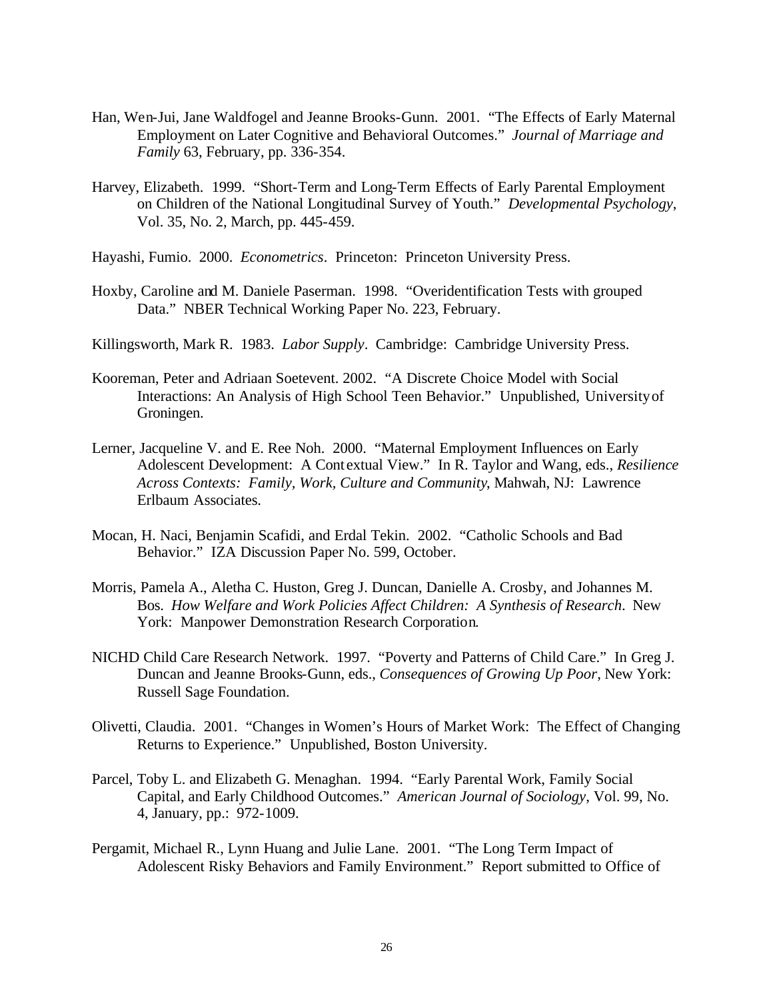- Han, Wen-Jui, Jane Waldfogel and Jeanne Brooks-Gunn. 2001. "The Effects of Early Maternal Employment on Later Cognitive and Behavioral Outcomes." *Journal of Marriage and Family* 63, February, pp. 336-354.
- Harvey, Elizabeth. 1999. "Short-Term and Long-Term Effects of Early Parental Employment on Children of the National Longitudinal Survey of Youth." *Developmental Psychology*, Vol. 35, No. 2, March, pp. 445-459.
- Hayashi, Fumio. 2000. *Econometrics*. Princeton: Princeton University Press.
- Hoxby, Caroline and M. Daniele Paserman. 1998. "Overidentification Tests with grouped Data." NBER Technical Working Paper No. 223, February.
- Killingsworth, Mark R. 1983. *Labor Supply*. Cambridge: Cambridge University Press.
- Kooreman, Peter and Adriaan Soetevent. 2002. "A Discrete Choice Model with Social Interactions: An Analysis of High School Teen Behavior." Unpublished, University of Groningen.
- Lerner, Jacqueline V. and E. Ree Noh. 2000. "Maternal Employment Influences on Early Adolescent Development: A Cont extual View." In R. Taylor and Wang, eds., *Resilience Across Contexts: Family, Work, Culture and Community*, Mahwah, NJ: Lawrence Erlbaum Associates.
- Mocan, H. Naci, Benjamin Scafidi, and Erdal Tekin. 2002. "Catholic Schools and Bad Behavior." IZA Discussion Paper No. 599, October.
- Morris, Pamela A., Aletha C. Huston, Greg J. Duncan, Danielle A. Crosby, and Johannes M. Bos. *How Welfare and Work Policies Affect Children: A Synthesis of Research*. New York: Manpower Demonstration Research Corporation.
- NICHD Child Care Research Network. 1997. "Poverty and Patterns of Child Care." In Greg J. Duncan and Jeanne Brooks-Gunn, eds., *Consequences of Growing Up Poor*, New York: Russell Sage Foundation.
- Olivetti, Claudia. 2001. "Changes in Women's Hours of Market Work: The Effect of Changing Returns to Experience." Unpublished, Boston University.
- Parcel, Toby L. and Elizabeth G. Menaghan. 1994. "Early Parental Work, Family Social Capital, and Early Childhood Outcomes." *American Journal of Sociology*, Vol. 99, No. 4, January, pp.: 972-1009.
- Pergamit, Michael R., Lynn Huang and Julie Lane. 2001. "The Long Term Impact of Adolescent Risky Behaviors and Family Environment." Report submitted to Office of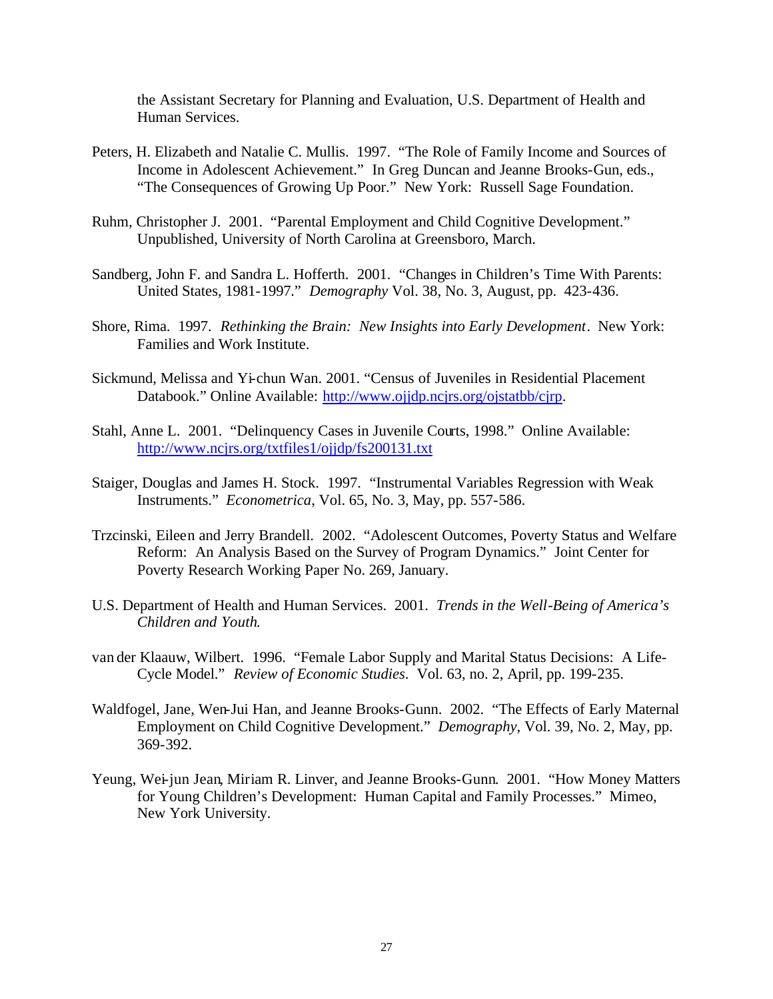the Assistant Secretary for Planning and Evaluation, U.S. Department of Health and Human Services.

- Peters, H. Elizabeth and Natalie C. Mullis. 1997. "The Role of Family Income and Sources of Income in Adolescent Achievement." In Greg Duncan and Jeanne Brooks-Gun, eds., "The Consequences of Growing Up Poor." New York: Russell Sage Foundation.
- Ruhm, Christopher J. 2001. "Parental Employment and Child Cognitive Development." Unpublished, University of North Carolina at Greensboro, March.
- Sandberg, John F. and Sandra L. Hofferth. 2001. "Changes in Children's Time With Parents: United States, 1981-1997." *Demography* Vol. 38, No. 3, August, pp. 423-436.
- Shore, Rima. 1997. *Rethinking the Brain: New Insights into Early Development*. New York: Families and Work Institute.
- Sickmund, Melissa and Yi-chun Wan. 2001. "Census of Juveniles in Residential Placement Databook." Online Available: http://www.ojjdp.ncjrs.org/ojstatbb/cjrp.
- Stahl, Anne L. 2001. "Delinquency Cases in Juvenile Courts, 1998." Online Available: http://www.ncjrs.org/txtfiles1/ojjdp/fs200131.txt
- Staiger, Douglas and James H. Stock. 1997. "Instrumental Variables Regression with Weak Instruments." *Econometrica*, Vol. 65, No. 3, May, pp. 557-586.
- Trzcinski, Eileen and Jerry Brandell. 2002. "Adolescent Outcomes, Poverty Status and Welfare Reform: An Analysis Based on the Survey of Program Dynamics." Joint Center for Poverty Research Working Paper No. 269, January.
- U.S. Department of Health and Human Services. 2001. *Trends in the Well-Being of America's Children and Youth*.
- van der Klaauw, Wilbert. 1996. "Female Labor Supply and Marital Status Decisions: A Life-Cycle Model." *Review of Economic Studies*. Vol. 63, no. 2, April, pp. 199-235.
- Waldfogel, Jane, Wen-Jui Han, and Jeanne Brooks-Gunn. 2002. "The Effects of Early Maternal Employment on Child Cognitive Development." *Demography*, Vol. 39, No. 2, May, pp. 369-392.
- Yeung, Wei-jun Jean, Miriam R. Linver, and Jeanne Brooks-Gunn. 2001. "How Money Matters for Young Children's Development: Human Capital and Family Processes." Mimeo, New York University.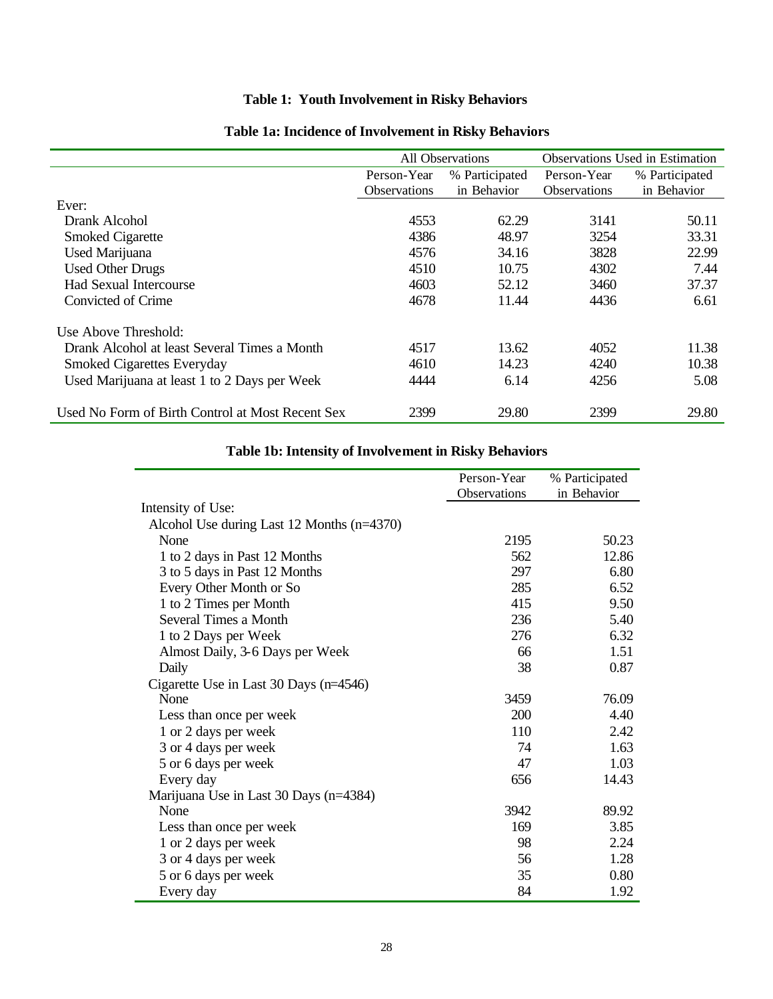# **Table 1: Youth Involvement in Risky Behaviors**

# **Table 1a: Incidence of Involvement in Risky Behaviors**

|                                                  |                     | All Observations | <b>Observations Used in Estimation</b> |                |  |
|--------------------------------------------------|---------------------|------------------|----------------------------------------|----------------|--|
|                                                  | Person-Year         | % Participated   | Person-Year                            | % Participated |  |
|                                                  | <b>Observations</b> | in Behavior      | Observations                           | in Behavior    |  |
| Ever:                                            |                     |                  |                                        |                |  |
| Drank Alcohol                                    | 4553                | 62.29            | 3141                                   | 50.11          |  |
| <b>Smoked Cigarette</b>                          | 4386                | 48.97            | 3254                                   | 33.31          |  |
| Used Marijuana                                   | 4576                | 34.16            | 3828                                   | 22.99          |  |
| <b>Used Other Drugs</b>                          | 4510                | 10.75            | 4302                                   | 7.44           |  |
| <b>Had Sexual Intercourse</b>                    | 4603                | 52.12            | 3460                                   | 37.37          |  |
| Convicted of Crime                               | 4678                | 11.44            | 4436                                   | 6.61           |  |
| Use Above Threshold:                             |                     |                  |                                        |                |  |
| Drank Alcohol at least Several Times a Month     | 4517                | 13.62            | 4052                                   | 11.38          |  |
| <b>Smoked Cigarettes Everyday</b>                | 4610                | 14.23            | 4240                                   | 10.38          |  |
| Used Marijuana at least 1 to 2 Days per Week     | 4444                | 6.14             | 4256                                   | 5.08           |  |
| Used No Form of Birth Control at Most Recent Sex | 2399                | 29.80            | 2399                                   | 29.80          |  |

## **Table 1b: Intensity of Involvement in Risky Behaviors**

|                                            | Person-Year         | % Participated |
|--------------------------------------------|---------------------|----------------|
|                                            | <b>Observations</b> | in Behavior    |
| Intensity of Use:                          |                     |                |
| Alcohol Use during Last 12 Months (n=4370) |                     |                |
| None                                       | 2195                | 50.23          |
| 1 to 2 days in Past 12 Months              | 562                 | 12.86          |
| 3 to 5 days in Past 12 Months              | 297                 | 6.80           |
| Every Other Month or So                    | 285                 | 6.52           |
| 1 to 2 Times per Month                     | 415                 | 9.50           |
| Several Times a Month                      | 236                 | 5.40           |
| 1 to 2 Days per Week                       | 276                 | 6.32           |
| Almost Daily, 3-6 Days per Week            | 66                  | 1.51           |
| Daily                                      | 38                  | 0.87           |
| Cigarette Use in Last 30 Days $(n=4546)$   |                     |                |
| None                                       | 3459                | 76.09          |
| Less than once per week                    | 200                 | 4.40           |
| 1 or 2 days per week                       | 110                 | 2.42           |
| 3 or 4 days per week                       | 74                  | 1.63           |
| 5 or 6 days per week                       | 47                  | 1.03           |
| Every day                                  | 656                 | 14.43          |
| Marijuana Use in Last 30 Days (n=4384)     |                     |                |
| None                                       | 3942                | 89.92          |
| Less than once per week                    | 169                 | 3.85           |
| 1 or 2 days per week                       | 98                  | 2.24           |
| 3 or 4 days per week                       | 56                  | 1.28           |
| 5 or 6 days per week                       | 35                  | 0.80           |
| Every day                                  | 84                  | 1.92           |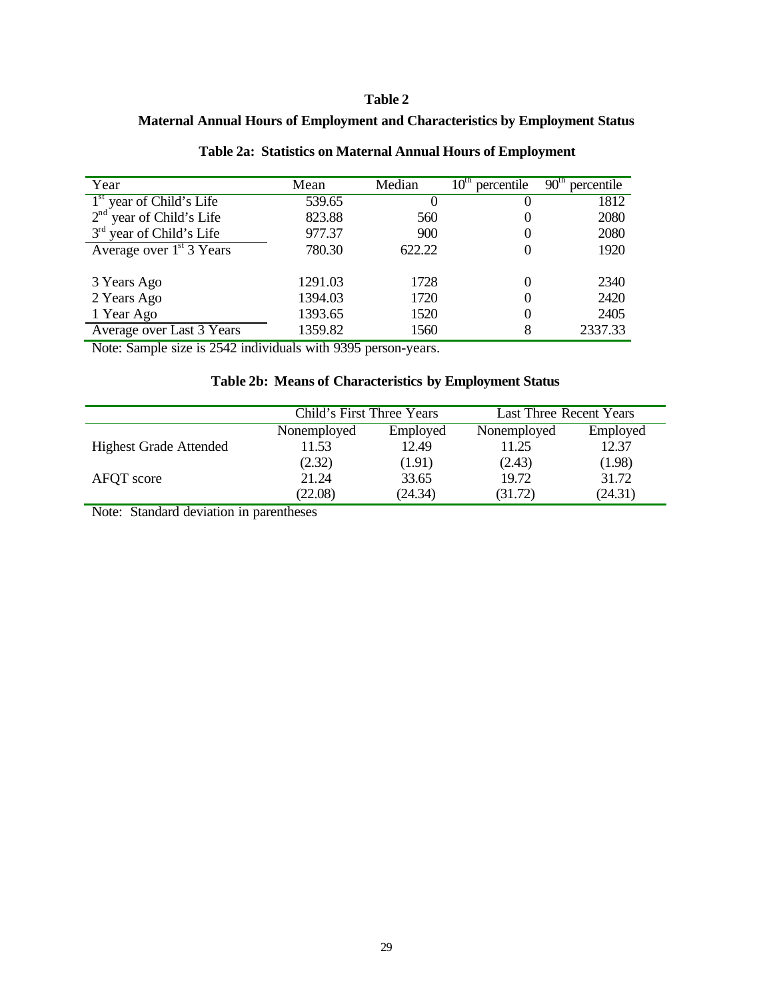## **Maternal Annual Hours of Employment and Characteristics by Employment Status**

| Year                                    | Mean    | Median | $10^{\text{th}}$<br>percentile | 90 <sup>th</sup><br>percentile |
|-----------------------------------------|---------|--------|--------------------------------|--------------------------------|
| $1^{\rm st}$<br>year of Child's Life    | 539.65  |        |                                | 1812                           |
| 2 <sup>nd</sup><br>year of Child's Life | 823.88  | 560    |                                | 2080                           |
| 3 <sup>rd</sup><br>year of Child's Life | 977.37  | 900    |                                | 2080                           |
| Average over 1 <sup>st</sup> 3 Years    | 780.30  | 622.22 |                                | 1920                           |
| 3 Years Ago                             | 1291.03 | 1728   |                                | 2340                           |
| 2 Years Ago                             | 1394.03 | 1720   |                                | 2420                           |
| 1 Year Ago                              | 1393.65 | 1520   |                                | 2405                           |
| Average over Last 3 Years               | 1359.82 | 1560   | 8                              | 2337.33                        |

### **Table 2a: Statistics on Maternal Annual Hours of Employment**

Note: Sample size is 2542 individuals with 9395 person-years.

### **Table 2b: Means of Characteristics by Employment Status**

|                               | Child's First Three Years |          | Last Three Recent Years |          |  |
|-------------------------------|---------------------------|----------|-------------------------|----------|--|
|                               | Nonemployed               | Employed | Nonemployed             | Employed |  |
| <b>Highest Grade Attended</b> | 11.53                     | 12.49    | 11.25                   | 12.37    |  |
|                               | (2.32)                    | (1.91)   | (2.43)                  | (1.98)   |  |
| AFOT score                    | 21.24                     | 33.65    | 19.72                   | 31.72    |  |
|                               | (22.08)                   | (24.34)  | (31.72)                 | (24.31)  |  |

Note: Standard deviation in parentheses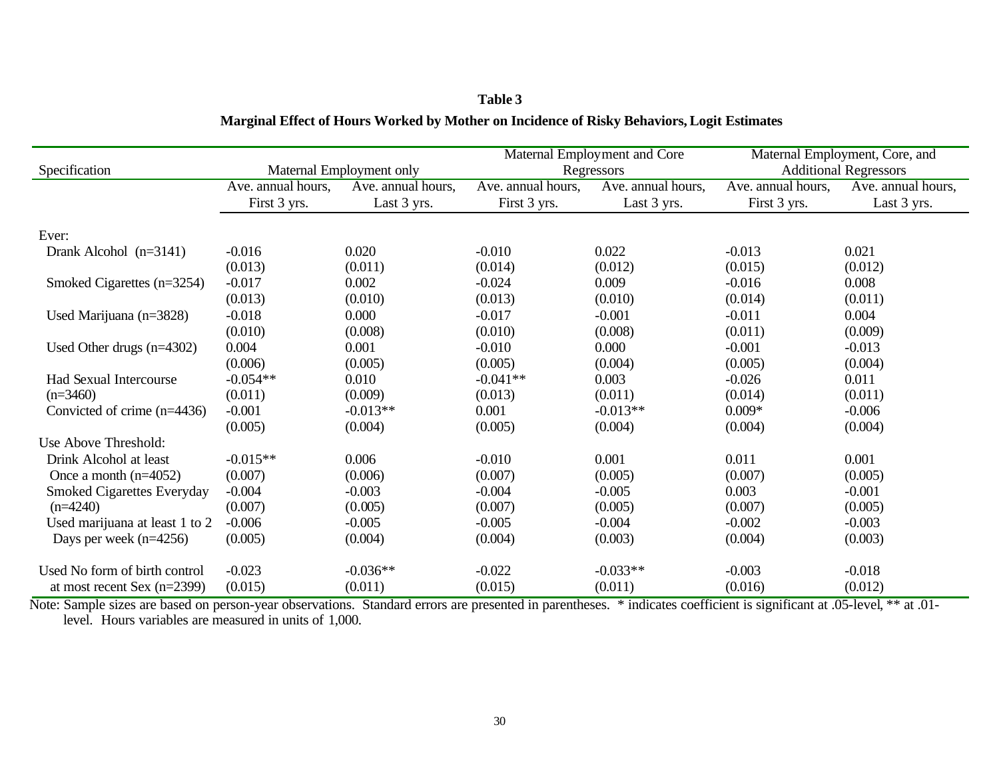|                                   |                    | Maternal Employment and Core |                    |                    |                              | Maternal Employment, Core, and |  |
|-----------------------------------|--------------------|------------------------------|--------------------|--------------------|------------------------------|--------------------------------|--|
| Specification                     |                    | Maternal Employment only     |                    | Regressors         | <b>Additional Regressors</b> |                                |  |
|                                   | Ave. annual hours, | Ave. annual hours,           | Ave. annual hours, | Ave. annual hours, | Ave. annual hours,           | Ave. annual hours,             |  |
|                                   | First 3 yrs.       | Last 3 yrs.                  | First 3 yrs.       | Last 3 yrs.        | First 3 yrs.                 | Last 3 yrs.                    |  |
|                                   |                    |                              |                    |                    |                              |                                |  |
| Ever:                             |                    |                              |                    |                    |                              |                                |  |
| Drank Alcohol $(n=3141)$          | $-0.016$           | 0.020                        | $-0.010$           | 0.022              | $-0.013$                     | 0.021                          |  |
|                                   | (0.013)            | (0.011)                      | (0.014)            | (0.012)            | (0.015)                      | (0.012)                        |  |
| Smoked Cigarettes $(n=3254)$      | $-0.017$           | 0.002                        | $-0.024$           | 0.009              | $-0.016$                     | 0.008                          |  |
|                                   | (0.013)            | (0.010)                      | (0.013)            | (0.010)            | (0.014)                      | (0.011)                        |  |
| Used Marijuana (n=3828)           | $-0.018$           | 0.000                        | $-0.017$           | $-0.001$           | $-0.011$                     | 0.004                          |  |
|                                   | (0.010)            | (0.008)                      | (0.010)            | (0.008)            | (0.011)                      | (0.009)                        |  |
| Used Other drugs (n=4302)         | 0.004              | 0.001                        | $-0.010$           | 0.000              | $-0.001$                     | $-0.013$                       |  |
|                                   | (0.006)            | (0.005)                      | (0.005)            | (0.004)            | (0.005)                      | (0.004)                        |  |
| <b>Had Sexual Intercourse</b>     | $-0.054**$         | 0.010                        | $-0.041**$         | 0.003              | $-0.026$                     | 0.011                          |  |
| $(n=3460)$                        | (0.011)            | (0.009)                      | (0.013)            | (0.011)            | (0.014)                      | (0.011)                        |  |
| Convicted of crime (n=4436)       | $-0.001$           | $-0.013**$                   | 0.001              | $-0.013**$         | $0.009*$                     | $-0.006$                       |  |
|                                   | (0.005)            | (0.004)                      | (0.005)            | (0.004)            | (0.004)                      | (0.004)                        |  |
| Use Above Threshold:              |                    |                              |                    |                    |                              |                                |  |
| Drink Alcohol at least            | $-0.015**$         | 0.006                        | $-0.010$           | 0.001              | 0.011                        | 0.001                          |  |
| Once a month $(n=4052)$           | (0.007)            | (0.006)                      | (0.007)            | (0.005)            | (0.007)                      | (0.005)                        |  |
| <b>Smoked Cigarettes Everyday</b> | $-0.004$           | $-0.003$                     | $-0.004$           | $-0.005$           | 0.003                        | $-0.001$                       |  |
| $(n=4240)$                        | (0.007)            | (0.005)                      | (0.007)            | (0.005)            | (0.007)                      | (0.005)                        |  |
| Used marijuana at least 1 to 2    | $-0.006$           | $-0.005$                     | $-0.005$           | $-0.004$           | $-0.002$                     | $-0.003$                       |  |
| Days per week $(n=4256)$          | (0.005)            | (0.004)                      | (0.004)            | (0.003)            | (0.004)                      | (0.003)                        |  |
|                                   |                    |                              |                    |                    |                              |                                |  |
| Used No form of birth control     | $-0.023$           | $-0.036**$                   | $-0.022$           | $-0.033**$         | $-0.003$                     | $-0.018$                       |  |
| at most recent Sex $(n=2399)$     | (0.015)            | (0.011)                      | (0.015)            | (0.011)            | (0.016)                      | (0.012)                        |  |

# **Table 3 Marginal Effect of Hours Worked by Mother on Incidence of Risky Behaviors, Logit Estimates**

Note: Sample sizes are based on person-year observations. Standard errors are presented in parentheses. \* indicates coefficient is significant at .05-level, \*\* at .01 level. Hours variables are measured in units of 1,000.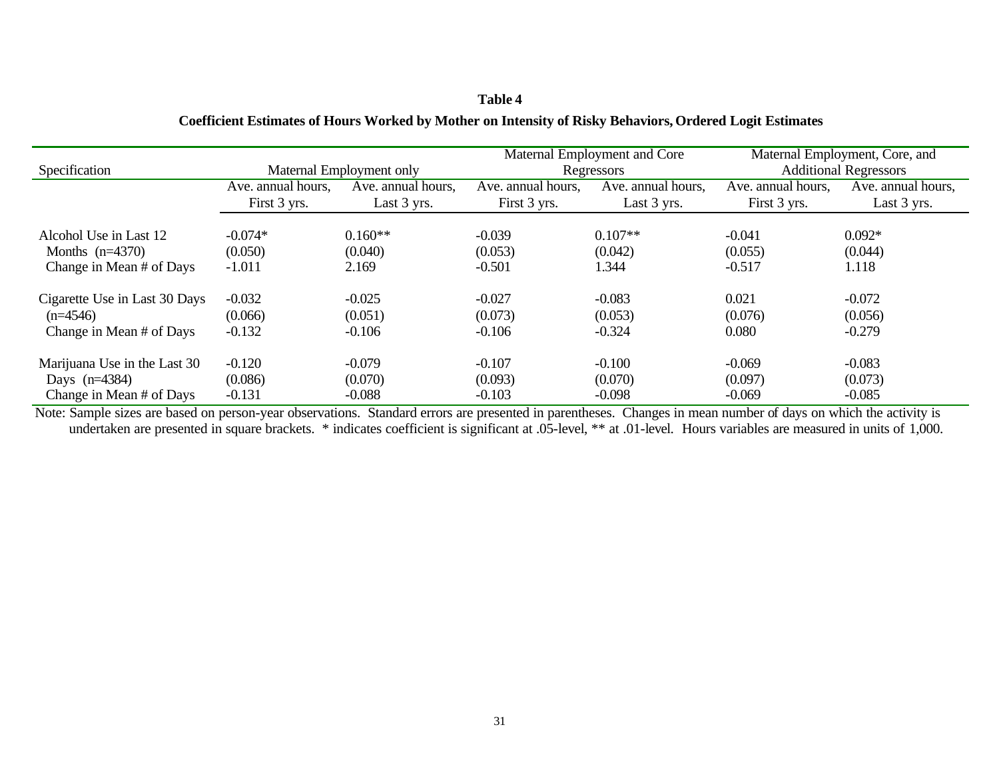|                               |                    |                          | Maternal Employment and Core |                    | Maternal Employment, Core, and |                    |
|-------------------------------|--------------------|--------------------------|------------------------------|--------------------|--------------------------------|--------------------|
| Specification                 |                    | Maternal Employment only |                              | Regressors         | <b>Additional Regressors</b>   |                    |
|                               | Ave. annual hours, | Ave. annual hours,       | Ave. annual hours,           | Ave. annual hours, | Ave. annual hours,             | Ave. annual hours, |
|                               | First 3 yrs.       | Last 3 yrs.              | First 3 yrs.                 | Last 3 yrs.        | First 3 yrs.                   | Last 3 yrs.        |
| Alcohol Use in Last 12        | $-0.074*$          | $0.160**$                | $-0.039$                     | $0.107**$          | $-0.041$                       | $0.092*$           |
|                               |                    |                          |                              |                    |                                |                    |
| Months $(n=4370)$             | (0.050)            | (0.040)                  | (0.053)                      | (0.042)            | (0.055)                        | (0.044)            |
| Change in Mean # of Days      | $-1.011$           | 2.169                    | $-0.501$                     | 1.344              | $-0.517$                       | 1.118              |
| Cigarette Use in Last 30 Days | $-0.032$           | $-0.025$                 | $-0.027$                     | $-0.083$           | 0.021                          | $-0.072$           |
| $(n=4546)$                    | (0.066)            | (0.051)                  | (0.073)                      | (0.053)            | (0.076)                        | (0.056)            |
| Change in Mean # of Days      | $-0.132$           | $-0.106$                 | $-0.106$                     | $-0.324$           | 0.080                          | $-0.279$           |
| Marijuana Use in the Last 30  | $-0.120$           | $-0.079$                 | $-0.107$                     | $-0.100$           | $-0.069$                       | $-0.083$           |
| Days $(n=4384)$               | (0.086)            | (0.070)                  | (0.093)                      | (0.070)            | (0.097)                        | (0.073)            |
| Change in Mean # of Days      | $-0.131$           | $-0.088$                 | $-0.103$                     | $-0.098$           | $-0.069$                       | $-0.085$           |

# **Table 4 Coefficient Estimates of Hours Worked by Mother on Intensity of Risky Behaviors, Ordered Logit Estimates**

Note: Sample sizes are based on person-year observations. Standard errors are presented in parentheses. Changes in mean number of days on which the activity is undertaken are presented in square brackets. \* indicates coefficient is significant at .05-level, \*\* at .01-level. Hours variables are measured in units of 1,000.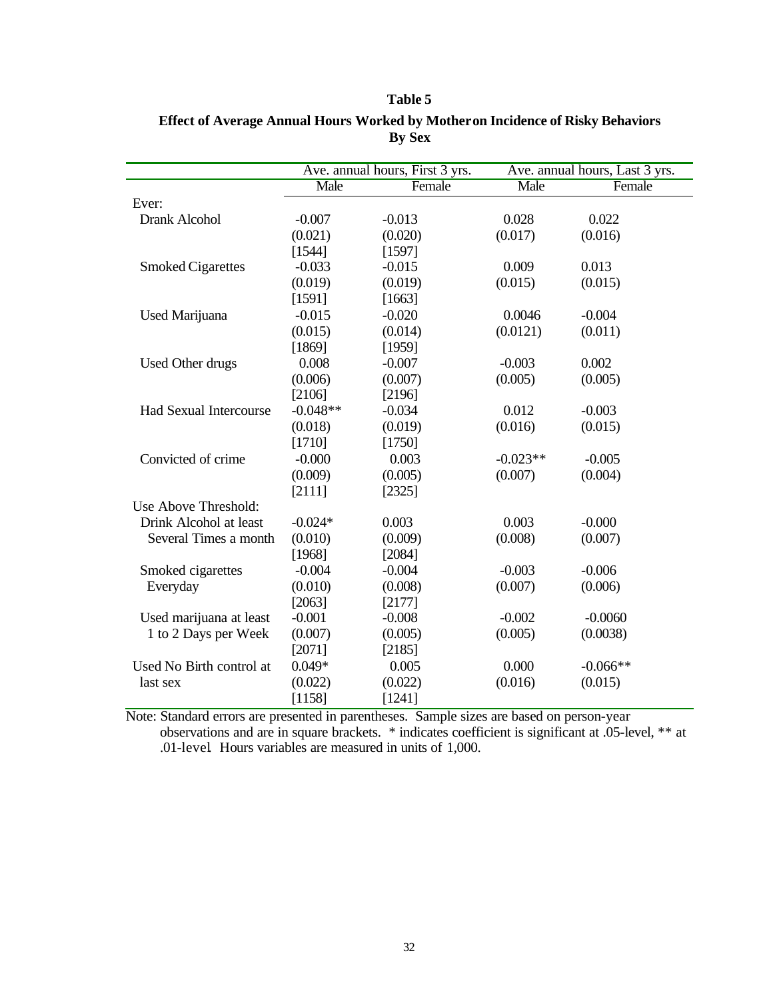|                          | Ave. annual hours, First 3 yrs. |          |            | Ave. annual hours, Last 3 yrs. |
|--------------------------|---------------------------------|----------|------------|--------------------------------|
|                          | Male                            | Female   | Male       | Female                         |
| Ever:                    |                                 |          |            |                                |
| Drank Alcohol            | $-0.007$                        | $-0.013$ | 0.028      | 0.022                          |
|                          | (0.021)                         | (0.020)  | (0.017)    | (0.016)                        |
|                          | [1544]                          | [1597]   |            |                                |
| <b>Smoked Cigarettes</b> | $-0.033$                        | $-0.015$ | 0.009      | 0.013                          |
|                          | (0.019)                         | (0.019)  | (0.015)    | (0.015)                        |
|                          | [1591]                          | [1663]   |            |                                |
| Used Marijuana           | $-0.015$                        | $-0.020$ | 0.0046     | $-0.004$                       |
|                          | (0.015)                         | (0.014)  | (0.0121)   | (0.011)                        |
|                          | [1869]                          | [1959]   |            |                                |
| Used Other drugs         | 0.008                           | $-0.007$ | $-0.003$   | 0.002                          |
|                          | (0.006)                         | (0.007)  | (0.005)    | (0.005)                        |
|                          | [2106]                          | [2196]   |            |                                |
| Had Sexual Intercourse   | $-0.048**$                      | $-0.034$ | 0.012      | $-0.003$                       |
|                          | (0.018)                         | (0.019)  | (0.016)    | (0.015)                        |
|                          | [1710]                          | [1750]   |            |                                |
| Convicted of crime       | $-0.000$                        | 0.003    | $-0.023**$ | $-0.005$                       |
|                          | (0.009)                         | (0.005)  | (0.007)    | (0.004)                        |
|                          | [2111]                          | [2325]   |            |                                |
| Use Above Threshold:     |                                 |          |            |                                |
| Drink Alcohol at least   | $-0.024*$                       | 0.003    | 0.003      | $-0.000$                       |
| Several Times a month    | (0.010)                         | (0.009)  | (0.008)    | (0.007)                        |
|                          | [1968]                          | [2084]   |            |                                |
| Smoked cigarettes        | $-0.004$                        | $-0.004$ | $-0.003$   | $-0.006$                       |
| Everyday                 | (0.010)                         | (0.008)  | (0.007)    | (0.006)                        |
|                          | [2063]                          | [2177]   |            |                                |
| Used marijuana at least  | $-0.001$                        | $-0.008$ | $-0.002$   | $-0.0060$                      |
| 1 to 2 Days per Week     | (0.007)                         | (0.005)  | (0.005)    | (0.0038)                       |
|                          | [2071]                          | [2185]   |            |                                |
| Used No Birth control at | $0.049*$                        | 0.005    | 0.000      | $-0.066**$                     |
| last sex                 | (0.022)                         | (0.022)  | (0.016)    | (0.015)                        |
|                          | [1158]                          | [1241]   |            |                                |

### **Effect of Average Annual Hours Worked by Mother on Incidence of Risky Behaviors By Sex**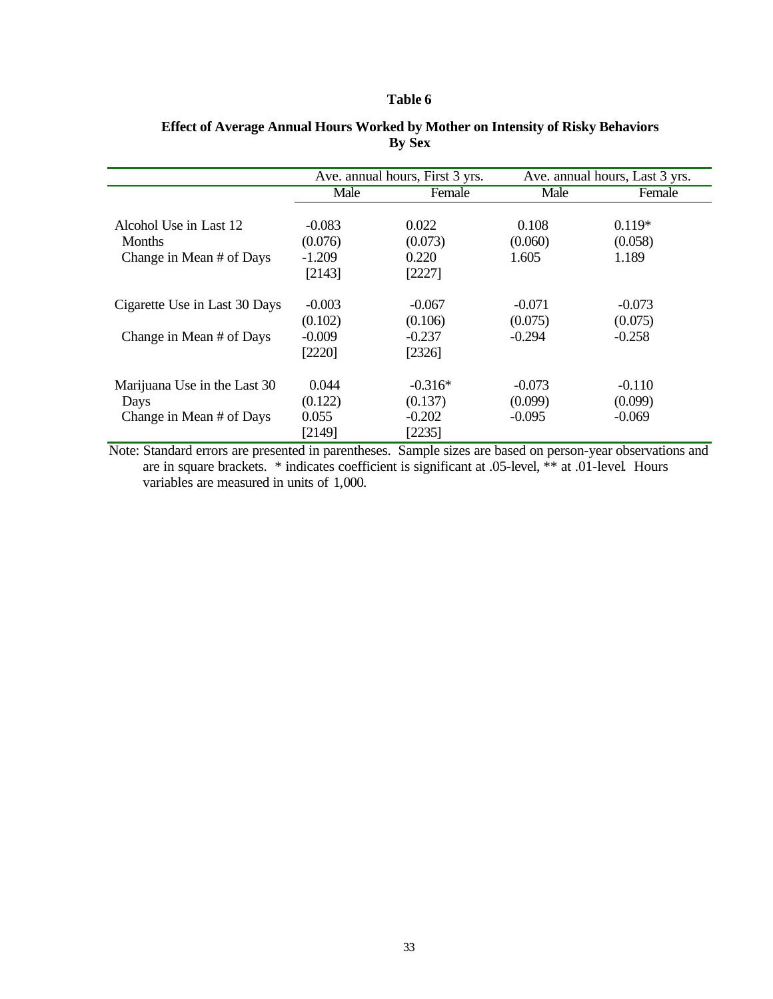|                               |          | Ave. annual hours, First 3 yrs. |          | Ave. annual hours, Last 3 yrs. |
|-------------------------------|----------|---------------------------------|----------|--------------------------------|
|                               | Male     | Female                          | Male     | Female                         |
|                               |          |                                 |          |                                |
| Alcohol Use in Last 12        | $-0.083$ | 0.022                           | 0.108    | $0.119*$                       |
| <b>Months</b>                 | (0.076)  | (0.073)                         | (0.060)  | (0.058)                        |
| Change in Mean # of Days      | $-1.209$ | 0.220                           | 1.605    | 1.189                          |
|                               | [2143]   | [2227]                          |          |                                |
| Cigarette Use in Last 30 Days | $-0.003$ | $-0.067$                        | $-0.071$ | $-0.073$                       |
|                               | (0.102)  | (0.106)                         | (0.075)  | (0.075)                        |
| Change in Mean # of Days      | $-0.009$ | $-0.237$                        | $-0.294$ | $-0.258$                       |
|                               | [2220]   | [2326]                          |          |                                |
| Marijuana Use in the Last 30  | 0.044    | $-0.316*$                       | $-0.073$ | $-0.110$                       |
| Days                          | (0.122)  | (0.137)                         | (0.099)  | (0.099)                        |
| Change in Mean # of Days      | 0.055    | $-0.202$                        | $-0.095$ | $-0.069$                       |
|                               | [2149]   | $[2235]$                        |          |                                |

### **Effect of Average Annual Hours Worked by Mother on Intensity of Risky Behaviors By Sex**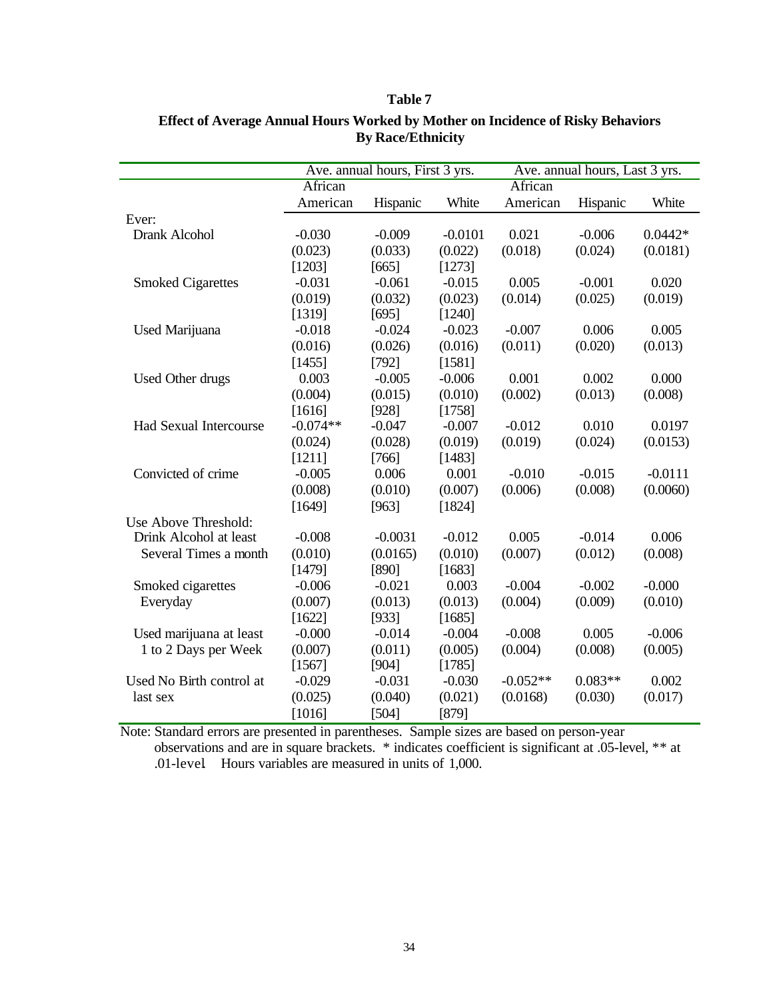|                               | Ave. annual hours, First 3 yrs. |           |           | Ave. annual hours, Last 3 yrs. |           |           |
|-------------------------------|---------------------------------|-----------|-----------|--------------------------------|-----------|-----------|
|                               | African                         |           |           | African                        |           |           |
|                               | American                        | Hispanic  | White     | American                       | Hispanic  | White     |
| Ever:                         |                                 |           |           |                                |           |           |
| Drank Alcohol                 | $-0.030$                        | $-0.009$  | $-0.0101$ | 0.021                          | $-0.006$  | $0.0442*$ |
|                               | (0.023)                         | (0.033)   | (0.022)   | (0.018)                        | (0.024)   | (0.0181)  |
|                               | [1203]                          | [665]     | [1273]    |                                |           |           |
| <b>Smoked Cigarettes</b>      | $-0.031$                        | $-0.061$  | $-0.015$  | 0.005                          | $-0.001$  | 0.020     |
|                               | (0.019)                         | (0.032)   | (0.023)   | (0.014)                        | (0.025)   | (0.019)   |
|                               | [1319]                          | [695]     | [1240]    |                                |           |           |
| Used Marijuana                | $-0.018$                        | $-0.024$  | $-0.023$  | $-0.007$                       | 0.006     | 0.005     |
|                               | (0.016)                         | (0.026)   | (0.016)   | (0.011)                        | (0.020)   | (0.013)   |
|                               | [1455]                          | [792]     | [1581]    |                                |           |           |
| Used Other drugs              | 0.003                           | $-0.005$  | $-0.006$  | 0.001                          | 0.002     | 0.000     |
|                               | (0.004)                         | (0.015)   | (0.010)   | (0.002)                        | (0.013)   | (0.008)   |
|                               | [1616]                          | [928]     | [1758]    |                                |           |           |
| <b>Had Sexual Intercourse</b> | $-0.074**$                      | $-0.047$  | $-0.007$  | $-0.012$                       | 0.010     | 0.0197    |
|                               | (0.024)                         | (0.028)   | (0.019)   | (0.019)                        | (0.024)   | (0.0153)  |
|                               | [1211]                          | [766]     | [1483]    |                                |           |           |
| Convicted of crime            | $-0.005$                        | 0.006     | 0.001     | $-0.010$                       | $-0.015$  | $-0.0111$ |
|                               | (0.008)                         | (0.010)   | (0.007)   | (0.006)                        | (0.008)   | (0.0060)  |
|                               | [1649]                          | [963]     | [1824]    |                                |           |           |
| Use Above Threshold:          |                                 |           |           |                                |           |           |
| Drink Alcohol at least        | $-0.008$                        | $-0.0031$ | $-0.012$  | 0.005                          | $-0.014$  | 0.006     |
| Several Times a month         | (0.010)                         | (0.0165)  | (0.010)   | (0.007)                        | (0.012)   | (0.008)   |
|                               | [1479]                          | [890]     | [1683]    |                                |           |           |
| Smoked cigarettes             | $-0.006$                        | $-0.021$  | 0.003     | $-0.004$                       | $-0.002$  | $-0.000$  |
| Everyday                      | (0.007)                         | (0.013)   | (0.013)   | (0.004)                        | (0.009)   | (0.010)   |
|                               | [1622]                          | [933]     | [1685]    |                                |           |           |
| Used marijuana at least       | $-0.000$                        | $-0.014$  | $-0.004$  | $-0.008$                       | 0.005     | $-0.006$  |
| 1 to 2 Days per Week          | (0.007)                         | (0.011)   | (0.005)   | (0.004)                        | (0.008)   | (0.005)   |
|                               | [1567]                          | [904]     | [1785]    |                                |           |           |
| Used No Birth control at      | $-0.029$                        | $-0.031$  | $-0.030$  | $-0.052**$                     | $0.083**$ | 0.002     |
| last sex                      | (0.025)                         | (0.040)   | (0.021)   | (0.0168)                       | (0.030)   | (0.017)   |
|                               | [1016]                          | [504]     | [879]     |                                |           |           |

### **Effect of Average Annual Hours Worked by Mother on Incidence of Risky Behaviors By Race/Ethnicity**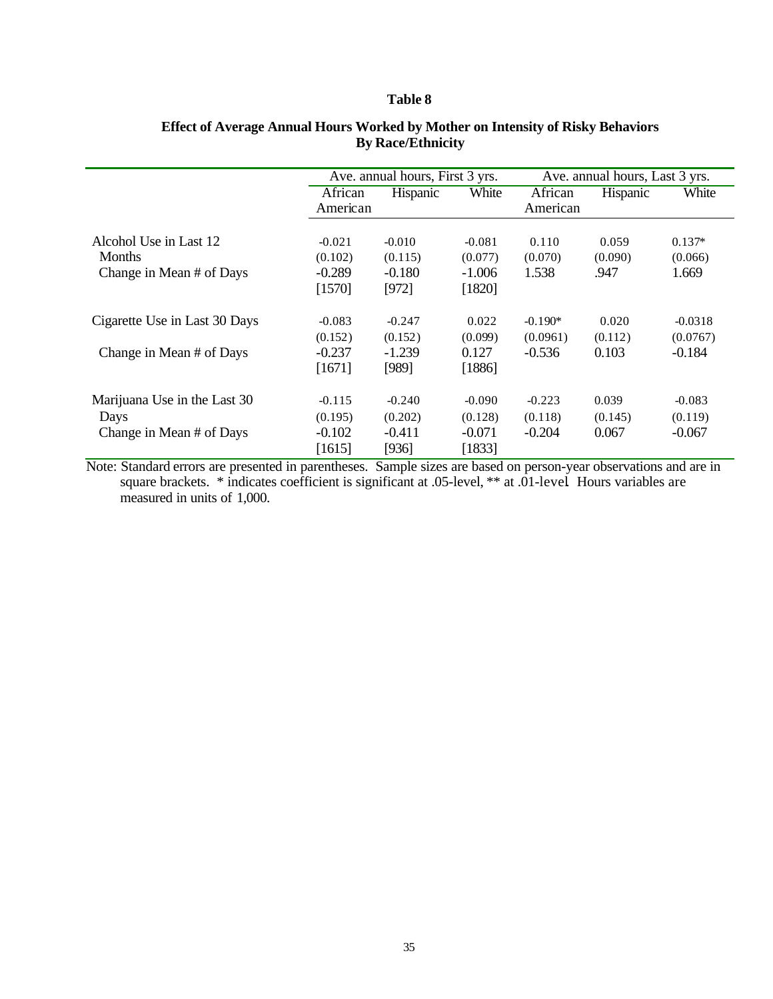|                               |          | Ave. annual hours, First 3 yrs. |          | Ave. annual hours, Last 3 yrs. |          |           |
|-------------------------------|----------|---------------------------------|----------|--------------------------------|----------|-----------|
|                               | African  | Hispanic                        | White    | African                        | Hispanic | White     |
|                               | American |                                 |          | American                       |          |           |
|                               |          |                                 |          |                                |          |           |
| Alcohol Use in Last 12        | $-0.021$ | $-0.010$                        | $-0.081$ | 0.110                          | 0.059    | $0.137*$  |
| <b>Months</b>                 | (0.102)  | (0.115)                         | (0.077)  | (0.070)                        | (0.090)  | (0.066)   |
| Change in Mean # of Days      | $-0.289$ | $-0.180$                        | $-1.006$ | 1.538                          | .947     | 1.669     |
|                               | [1570]   | [972]                           | [1820]   |                                |          |           |
| Cigarette Use in Last 30 Days | $-0.083$ | $-0.247$                        | 0.022    | $-0.190*$                      | 0.020    | $-0.0318$ |
|                               | (0.152)  | (0.152)                         | (0.099)  | (0.0961)                       | (0.112)  | (0.0767)  |
| Change in Mean # of Days      | $-0.237$ | $-1.239$                        | 0.127    | $-0.536$                       | 0.103    | $-0.184$  |
|                               | [1671]   | [989]                           | [1886]   |                                |          |           |
| Marijuana Use in the Last 30  | $-0.115$ | $-0.240$                        | $-0.090$ | $-0.223$                       | 0.039    | $-0.083$  |
| Days                          | (0.195)  | (0.202)                         | (0.128)  | (0.118)                        | (0.145)  | (0.119)   |
| Change in Mean # of Days      | $-0.102$ | $-0.411$                        | $-0.071$ | $-0.204$                       | 0.067    | $-0.067$  |
|                               | [1615]   | [936]                           | [1833]   |                                |          |           |

### **Effect of Average Annual Hours Worked by Mother on Intensity of Risky Behaviors By Race/Ethnicity**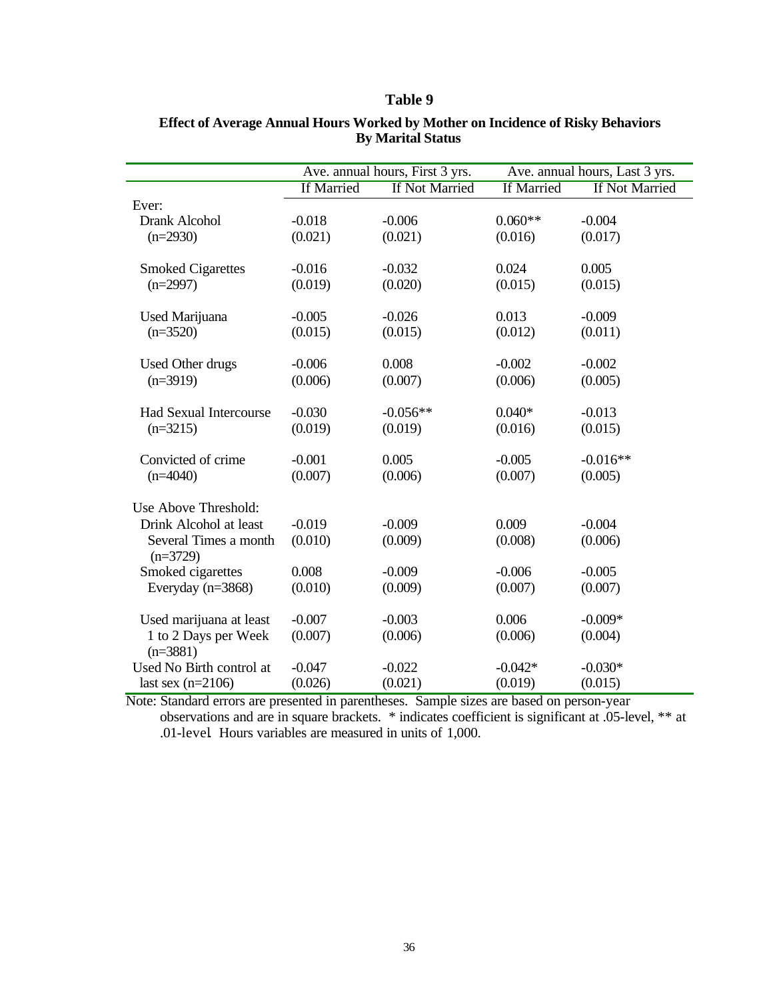|                                        | Ave. annual hours, First 3 yrs. |                | Ave. annual hours, Last 3 yrs. |                       |  |
|----------------------------------------|---------------------------------|----------------|--------------------------------|-----------------------|--|
|                                        | <b>If Married</b>               | If Not Married | <b>If Married</b>              | <b>If Not Married</b> |  |
| Ever:                                  |                                 |                |                                |                       |  |
| Drank Alcohol                          | $-0.018$                        | $-0.006$       | $0.060**$                      | $-0.004$              |  |
| $(n=2930)$                             | (0.021)                         | (0.021)        | (0.016)                        | (0.017)               |  |
| <b>Smoked Cigarettes</b>               | $-0.016$                        | $-0.032$       | 0.024                          | 0.005                 |  |
| $(n=2997)$                             | (0.019)                         | (0.020)        | (0.015)                        | (0.015)               |  |
| Used Marijuana                         | $-0.005$                        | $-0.026$       | 0.013                          | $-0.009$              |  |
| $(n=3520)$                             | (0.015)                         | (0.015)        | (0.012)                        | (0.011)               |  |
| Used Other drugs                       | $-0.006$                        | 0.008          | $-0.002$                       | $-0.002$              |  |
| $(n=3919)$                             | (0.006)                         | (0.007)        | (0.006)                        | (0.005)               |  |
| <b>Had Sexual Intercourse</b>          | $-0.030$                        | $-0.056**$     | $0.040*$                       | $-0.013$              |  |
| $(n=3215)$                             | (0.019)                         | (0.019)        | (0.016)                        | (0.015)               |  |
| Convicted of crime                     | $-0.001$                        | 0.005          | $-0.005$                       | $-0.016**$            |  |
| $(n=4040)$                             | (0.007)                         | (0.006)        | (0.007)                        | (0.005)               |  |
| Use Above Threshold:                   |                                 |                |                                |                       |  |
| Drink Alcohol at least                 | $-0.019$                        | $-0.009$       | 0.009                          | $-0.004$              |  |
| Several Times a month<br>$(n=3729)$    | (0.010)                         | (0.009)        | (0.008)                        | (0.006)               |  |
| Smoked cigarettes                      | 0.008                           | $-0.009$       | $-0.006$                       | $-0.005$              |  |
| Everyday $(n=3868)$                    | (0.010)                         | (0.009)        | (0.007)                        | (0.007)               |  |
| Used marijuana at least                | $-0.007$                        | $-0.003$       | 0.006                          | $-0.009*$             |  |
| 1 to 2 Days per Week                   | (0.007)                         | (0.006)        | (0.006)                        | (0.004)               |  |
| $(n=3881)$<br>Used No Birth control at | $-0.047$                        | $-0.022$       | $-0.042*$                      | $-0.030*$             |  |
| last sex $(n=2106)$                    | (0.026)                         | (0.021)        | (0.019)                        | (0.015)               |  |
|                                        |                                 |                |                                |                       |  |

#### **Effect of Average Annual Hours Worked by Mother on Incidence of Risky Behaviors By Marital Status**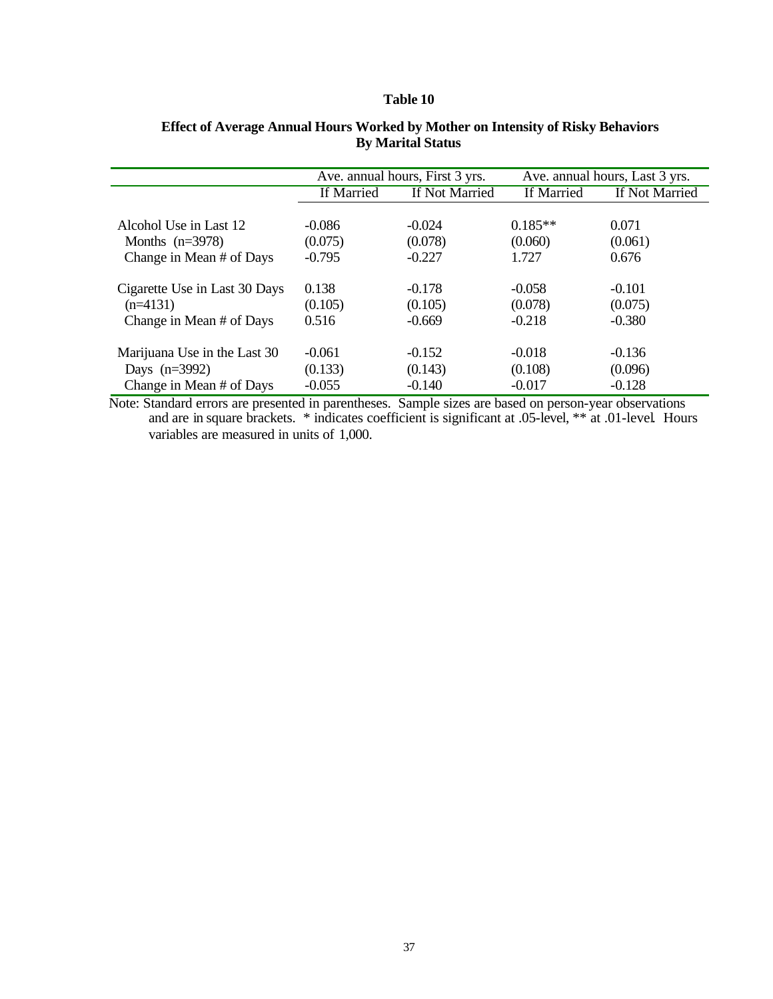|                               |            | Ave. annual hours, First 3 yrs. | Ave. annual hours, Last 3 yrs. |                |  |
|-------------------------------|------------|---------------------------------|--------------------------------|----------------|--|
|                               | If Married | If Not Married                  | If Married                     | If Not Married |  |
|                               |            |                                 |                                |                |  |
| Alcohol Use in Last 12        | $-0.086$   | $-0.024$                        | $0.185**$                      | 0.071          |  |
| Months $(n=3978)$             | (0.075)    | (0.078)                         | (0.060)                        | (0.061)        |  |
| Change in Mean # of Days      | $-0.795$   | $-0.227$                        | 1.727                          | 0.676          |  |
|                               |            |                                 |                                |                |  |
| Cigarette Use in Last 30 Days | 0.138      | $-0.178$                        | $-0.058$                       | $-0.101$       |  |
| $(n=4131)$                    | (0.105)    | (0.105)                         | (0.078)                        | (0.075)        |  |
| Change in Mean # of Days      | 0.516      | $-0.669$                        | $-0.218$                       | $-0.380$       |  |
|                               |            |                                 |                                |                |  |
| Marijuana Use in the Last 30  | $-0.061$   | $-0.152$                        | $-0.018$                       | $-0.136$       |  |
| Days $(n=3992)$               | (0.133)    | (0.143)                         | (0.108)                        | (0.096)        |  |
| Change in Mean # of Days      | $-0.055$   | $-0.140$                        | $-0.017$                       | $-0.128$       |  |

### **Effect of Average Annual Hours Worked by Mother on Intensity of Risky Behaviors By Marital Status**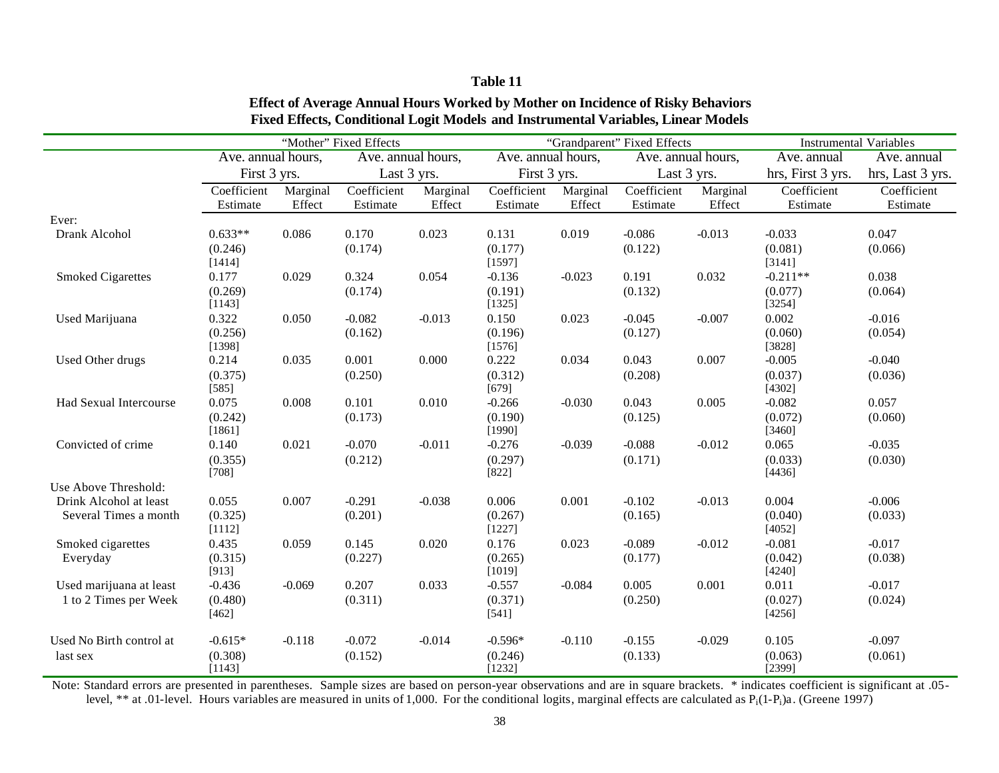|                                                  | "Mother" Fixed Effects             |                    |                                   |                    | "Grandparent" Fixed Effects        |                    |                                   |                    | <b>Instrumental Variables</b>   |                         |
|--------------------------------------------------|------------------------------------|--------------------|-----------------------------------|--------------------|------------------------------------|--------------------|-----------------------------------|--------------------|---------------------------------|-------------------------|
|                                                  | Ave. annual hours,<br>First 3 yrs. |                    | Ave. annual hours,<br>Last 3 yrs. |                    | Ave. annual hours,<br>First 3 yrs. |                    | Ave. annual hours,<br>Last 3 yrs. |                    | Ave. annual                     | Ave. annual             |
|                                                  |                                    |                    |                                   |                    |                                    |                    |                                   |                    | hrs, First 3 yrs.               | hrs, Last 3 yrs.        |
|                                                  | $C$ oefficient<br>Estimate         | Marginal<br>Effect | Coefficient<br>Estimate           | Marginal<br>Effect | Coefficient<br>Estimate            | Marginal<br>Effect | Coefficient<br>Estimate           | Marginal<br>Effect | Coefficient<br>Estimate         | Coefficient<br>Estimate |
| Ever:                                            |                                    |                    |                                   |                    |                                    |                    |                                   |                    |                                 |                         |
| Drank Alcohol                                    | $0.633**$<br>(0.246)<br>[1414]     | 0.086              | 0.170<br>(0.174)                  | 0.023              | 0.131<br>(0.177)<br>[1597]         | 0.019              | $-0.086$<br>(0.122)               | $-0.013$           | $-0.033$<br>(0.081)<br>[3141]   | 0.047<br>(0.066)        |
| <b>Smoked Cigarettes</b>                         | 0.177<br>(0.269)<br>[1143]         | 0.029              | 0.324<br>(0.174)                  | 0.054              | $-0.136$<br>(0.191)<br>[1325]      | $-0.023$           | 0.191<br>(0.132)                  | 0.032              | $-0.211**$<br>(0.077)<br>[3254] | 0.038<br>(0.064)        |
| Used Marijuana                                   | 0.322<br>(0.256)<br>[1398]         | 0.050              | $-0.082$<br>(0.162)               | $-0.013$           | 0.150<br>(0.196)<br>[1576]         | 0.023              | $-0.045$<br>(0.127)               | $-0.007$           | 0.002<br>(0.060)<br>[3828]      | $-0.016$<br>(0.054)     |
| Used Other drugs                                 | 0.214<br>(0.375)<br>[585]          | 0.035              | 0.001<br>(0.250)                  | 0.000              | 0.222<br>(0.312)<br>[679]          | 0.034              | 0.043<br>(0.208)                  | 0.007              | $-0.005$<br>(0.037)<br>[4302]   | $-0.040$<br>(0.036)     |
| Had Sexual Intercourse                           | 0.075<br>(0.242)<br>[1861]         | 0.008              | 0.101<br>(0.173)                  | 0.010              | $-0.266$<br>(0.190)<br>[1990]      | $-0.030$           | 0.043<br>(0.125)                  | 0.005              | $-0.082$<br>(0.072)<br>[3460]   | 0.057<br>(0.060)        |
| Convicted of crime                               | 0.140<br>(0.355)<br>[708]          | 0.021              | $-0.070$<br>(0.212)               | $-0.011$           | $-0.276$<br>(0.297)<br>$[822]$     | $-0.039$           | $-0.088$<br>(0.171)               | $-0.012$           | 0.065<br>(0.033)<br>[4436]      | $-0.035$<br>(0.030)     |
| Use Above Threshold:                             |                                    |                    |                                   |                    |                                    |                    |                                   |                    |                                 |                         |
| Drink Alcohol at least<br>Several Times a month  | 0.055<br>(0.325)<br>[1112]         | 0.007              | $-0.291$<br>(0.201)               | $-0.038$           | 0.006<br>(0.267)<br>[1227]         | 0.001              | $-0.102$<br>(0.165)               | $-0.013$           | 0.004<br>(0.040)<br>[4052]      | $-0.006$<br>(0.033)     |
| Smoked cigarettes<br>Everyday                    | 0.435<br>(0.315)<br>[913]          | 0.059              | 0.145<br>(0.227)                  | 0.020              | 0.176<br>(0.265)<br>[1019]         | 0.023              | $-0.089$<br>(0.177)               | $-0.012$           | $-0.081$<br>(0.042)<br>[4240]   | $-0.017$<br>(0.038)     |
| Used marijuana at least<br>1 to 2 Times per Week | $-0.436$<br>(0.480)<br>[462]       | $-0.069$           | 0.207<br>(0.311)                  | 0.033              | $-0.557$<br>(0.371)<br>[541]       | $-0.084$           | 0.005<br>(0.250)                  | 0.001              | 0.011<br>(0.027)<br>[4256]      | $-0.017$<br>(0.024)     |
| Used No Birth control at<br>last sex             | $-0.615*$<br>(0.308)<br>[1143]     | $-0.118$           | $-0.072$<br>(0.152)               | $-0.014$           | $-0.596*$<br>(0.246)<br>[1232]     | $-0.110$           | $-0.155$<br>(0.133)               | $-0.029$           | 0.105<br>(0.063)<br>[2399]      | $-0.097$<br>(0.061)     |

### **Effect of Average Annual Hours Worked by Mother on Incidence of Risky Behaviors Fixed Effects, Conditional Logit Models and Instrumental Variables, Linear Models**

Note: Standard errors are presented in parentheses. Sample sizes are based on person-year observations and are in square brackets. \* indicates coefficient is significant at .05 level, \*\* at .01-level. Hours variables are measured in units of 1,000. For the conditional logits, marginal effects are calculated as Pi(1-Pi)a. (Greene 1997)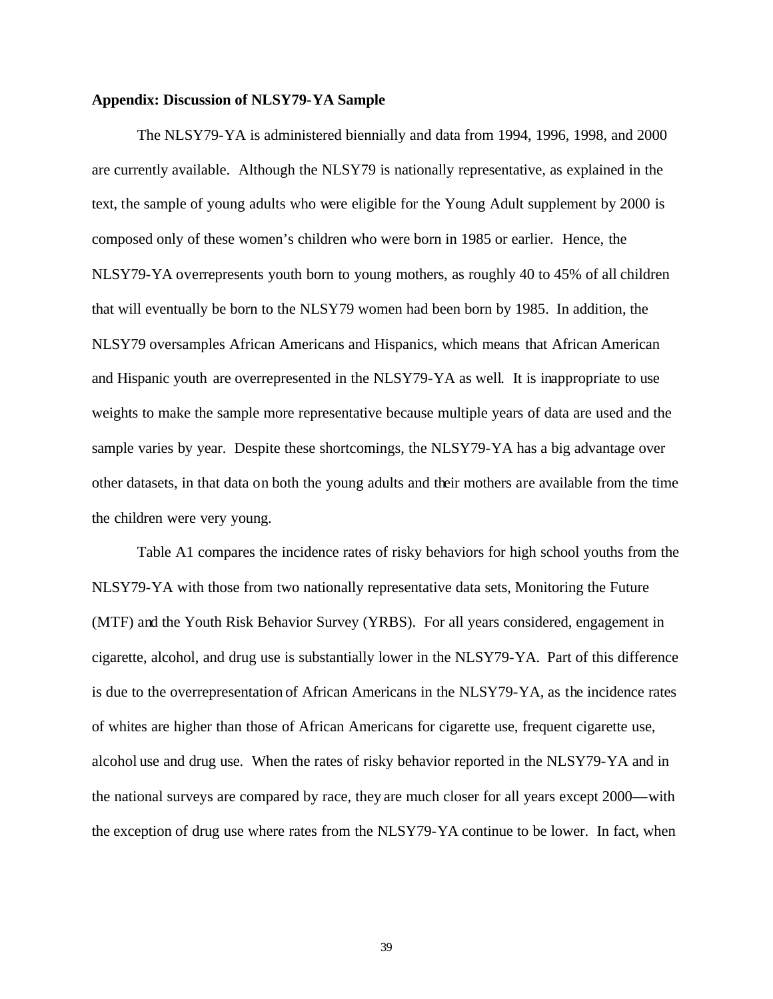#### **Appendix: Discussion of NLSY79-YA Sample**

The NLSY79-YA is administered biennially and data from 1994, 1996, 1998, and 2000 are currently available. Although the NLSY79 is nationally representative, as explained in the text, the sample of young adults who were eligible for the Young Adult supplement by 2000 is composed only of these women's children who were born in 1985 or earlier. Hence, the NLSY79-YA overrepresents youth born to young mothers, as roughly 40 to 45% of all children that will eventually be born to the NLSY79 women had been born by 1985. In addition, the NLSY79 oversamples African Americans and Hispanics, which means that African American and Hispanic youth are overrepresented in the NLSY79-YA as well. It is inappropriate to use weights to make the sample more representative because multiple years of data are used and the sample varies by year. Despite these shortcomings, the NLSY79-YA has a big advantage over other datasets, in that data on both the young adults and their mothers are available from the time the children were very young.

Table A1 compares the incidence rates of risky behaviors for high school youths from the NLSY79-YA with those from two nationally representative data sets, Monitoring the Future (MTF) and the Youth Risk Behavior Survey (YRBS). For all years considered, engagement in cigarette, alcohol, and drug use is substantially lower in the NLSY79-YA. Part of this difference is due to the overrepresentation of African Americans in the NLSY79-YA, as the incidence rates of whites are higher than those of African Americans for cigarette use, frequent cigarette use, alcohol use and drug use. When the rates of risky behavior reported in the NLSY79-YA and in the national surveys are compared by race, they are much closer for all years except 2000—with the exception of drug use where rates from the NLSY79-YA continue to be lower. In fact, when

39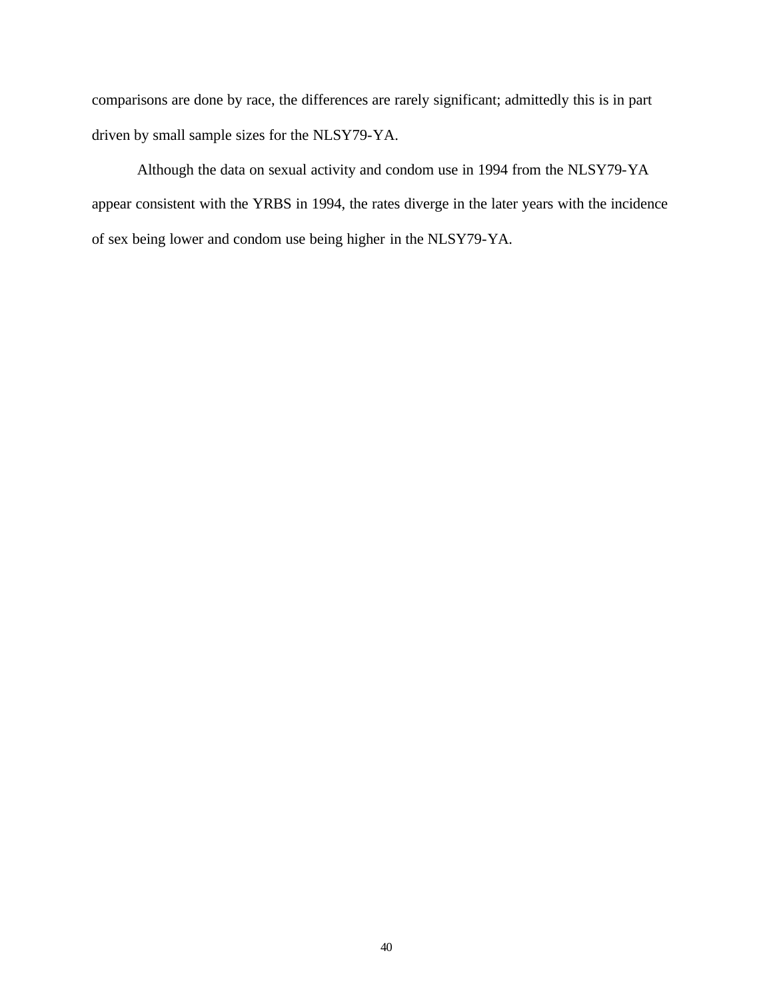comparisons are done by race, the differences are rarely significant; admittedly this is in part driven by small sample sizes for the NLSY79-YA.

Although the data on sexual activity and condom use in 1994 from the NLSY79-YA appear consistent with the YRBS in 1994, the rates diverge in the later years with the incidence of sex being lower and condom use being higher in the NLSY79-YA.